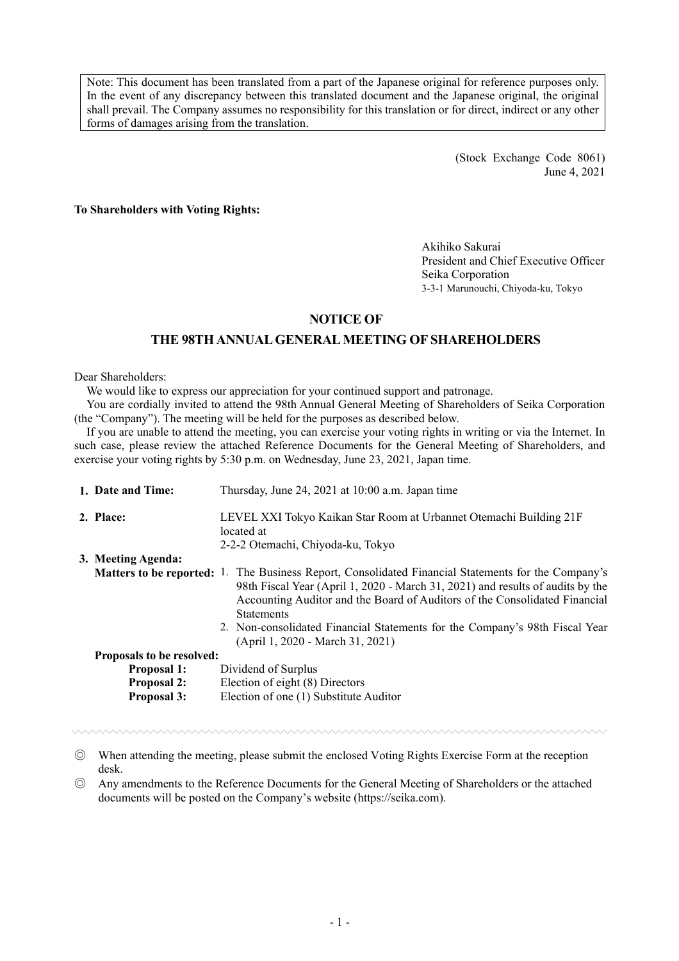Note: This document has been translated from a part of the Japanese original for reference purposes only. In the event of any discrepancy between this translated document and the Japanese original, the original shall prevail. The Company assumes no responsibility for this translation or for direct, indirect or any other forms of damages arising from the translation.

> (Stock Exchange Code 8061) June 4, 2021

**To Shareholders with Voting Rights:**

Akihiko Sakurai President and Chief Executive Officer Seika Corporation 3-3-1 Marunouchi, Chiyoda-ku, Tokyo

# **NOTICE OF**

# **THE 98THANNUALGENERAL MEETING OF SHAREHOLDERS**

Dear Shareholders:

We would like to express our appreciation for your continued support and patronage.

You are cordially invited to attend the 98th Annual General Meeting of Shareholders of Seika Corporation (the "Company"). The meeting will be held for the purposes as described below.

If you are unable to attend the meeting, you can exercise your voting rights in writing or via the Internet. In such case, please review the attached Reference Documents for the General Meeting of Shareholders, and exercise your voting rights by 5:30 p.m. on Wednesday, June 23, 2021, Japan time.

| 1. Date and Time:                 | Thursday, June 24, 2021 at 10:00 a.m. Japan time                                                                                                                                                                                                                                                                                                                                 |  |  |  |  |
|-----------------------------------|----------------------------------------------------------------------------------------------------------------------------------------------------------------------------------------------------------------------------------------------------------------------------------------------------------------------------------------------------------------------------------|--|--|--|--|
| 2. Place:                         | LEVEL XXI Tokyo Kaikan Star Room at Urbannet Otemachi Building 21F<br>located at<br>2-2-2 Otemachi, Chiyoda-ku, Tokyo                                                                                                                                                                                                                                                            |  |  |  |  |
| 3. Meeting Agenda:                |                                                                                                                                                                                                                                                                                                                                                                                  |  |  |  |  |
| <b>Matters to be reported:</b> 1. | The Business Report, Consolidated Financial Statements for the Company's<br>98th Fiscal Year (April 1, 2020 - March 31, 2021) and results of audits by the<br>Accounting Auditor and the Board of Auditors of the Consolidated Financial<br><b>Statements</b><br>2. Non-consolidated Financial Statements for the Company's 98th Fiscal Year<br>(April 1, 2020 - March 31, 2021) |  |  |  |  |
| Proposals to be resolved:         |                                                                                                                                                                                                                                                                                                                                                                                  |  |  |  |  |
| <b>Proposal 1:</b>                | Dividend of Surplus                                                                                                                                                                                                                                                                                                                                                              |  |  |  |  |
| <b>Proposal 2:</b>                | Election of eight (8) Directors                                                                                                                                                                                                                                                                                                                                                  |  |  |  |  |
| <b>Proposal 3:</b>                | Election of one (1) Substitute Auditor                                                                                                                                                                                                                                                                                                                                           |  |  |  |  |

◎ When attending the meeting, please submit the enclosed Voting Rights Exercise Form at the reception desk.

◎ Any amendments to the Reference Documents for the General Meeting of Shareholders or the attached documents will be posted on the Company's website (<https://seika.com>).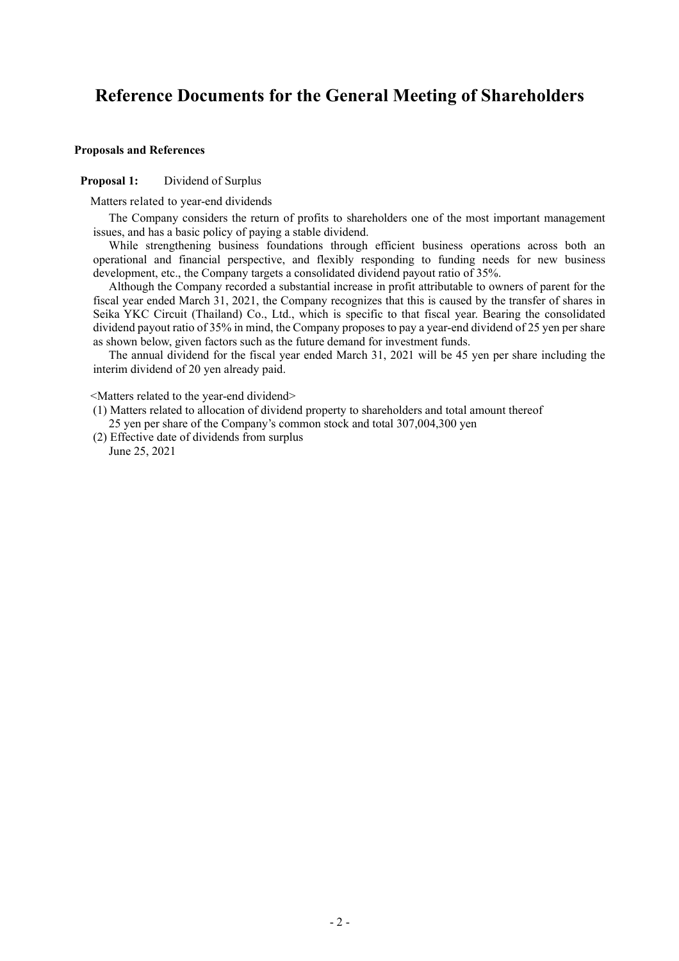# **Reference Documents for the General Meeting of Shareholders**

#### **Proposals and References**

## **Proposal 1:** Dividend of Surplus

Matters related to year-end dividends

The Company considers the return of profits to shareholders one of the most important management issues, and has a basic policy of paying a stable dividend.

While strengthening business foundations through efficient business operations across both an operational and financial perspective, and flexibly responding to funding needs for new business development, etc., the Company targets a consolidated dividend payout ratio of 35%.

Although the Company recorded a substantial increase in profit attributable to owners of parent for the fiscal year ended March 31, 2021, the Company recognizes that this is caused by the transfer of shares in Seika YKC Circuit (Thailand) Co., Ltd., which is specific to that fiscal year. Bearing the consolidated dividend payout ratio of 35% in mind, the Company proposes to pay a year-end dividend of 25 yen per share as shown below, given factors such as the future demand for investment funds.

The annual dividend for the fiscal year ended March 31, 2021 will be 45 yen per share including the interim dividend of 20 yen already paid.

<Matters related to the year-end dividend>

- (1) Matters related to allocation of dividend property to shareholders and total amount thereof 25 yen per share of the Company's common stock and total 307,004,300 yen
- (2) Effective date of dividends from surplus June 25, 2021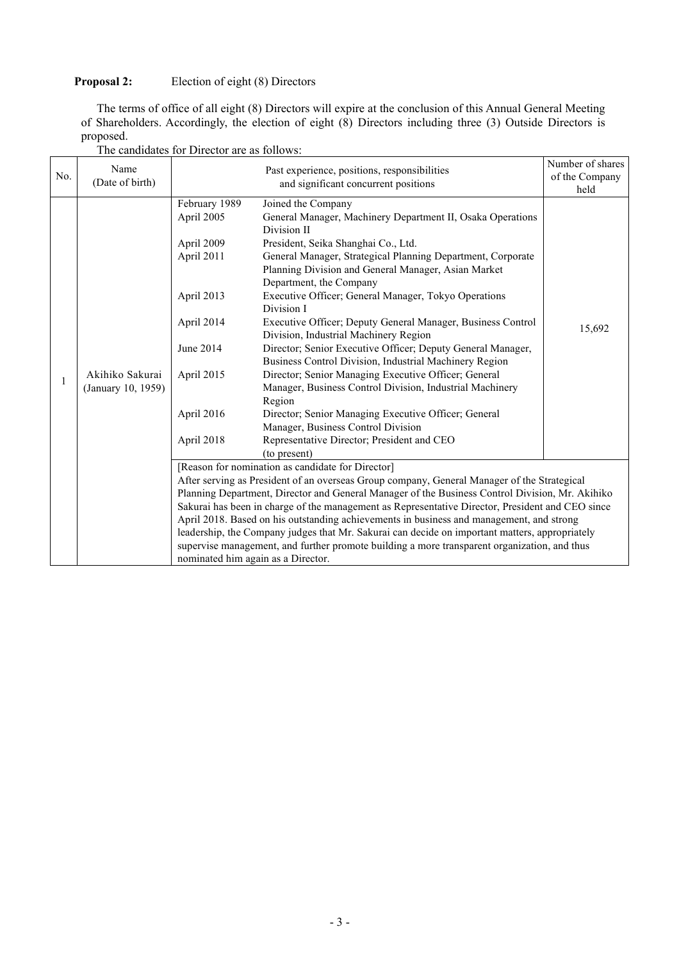# **Proposal 2:** Election of eight (8) Directors

The terms of office of all eight (8) Directors will expire at the conclusion of this Annual General Meeting of Shareholders. Accordingly, the election of eight (8) Directors including three (3) Outside Directors is proposed.

|     | Name                                  |                                                                                      | Number of shares                                                                                 |                |
|-----|---------------------------------------|--------------------------------------------------------------------------------------|--------------------------------------------------------------------------------------------------|----------------|
| No. | (Date of birth)                       | Past experience, positions, responsibilities<br>and significant concurrent positions |                                                                                                  | of the Company |
|     |                                       |                                                                                      | held                                                                                             |                |
|     |                                       | February 1989                                                                        | Joined the Company                                                                               |                |
|     |                                       | April 2005                                                                           |                                                                                                  |                |
|     |                                       |                                                                                      | Division II                                                                                      |                |
|     |                                       | April 2009                                                                           | President, Seika Shanghai Co., Ltd.                                                              |                |
|     |                                       | April 2011                                                                           | General Manager, Strategical Planning Department, Corporate                                      |                |
|     |                                       |                                                                                      | Planning Division and General Manager, Asian Market                                              |                |
|     |                                       |                                                                                      | Department, the Company                                                                          |                |
|     |                                       | April 2013                                                                           | Executive Officer; General Manager, Tokyo Operations                                             |                |
|     |                                       |                                                                                      | Division I                                                                                       |                |
|     | Akihiko Sakurai<br>(January 10, 1959) | April 2014                                                                           | Executive Officer; Deputy General Manager, Business Control                                      |                |
|     |                                       |                                                                                      | 15,692                                                                                           |                |
|     |                                       | June 2014                                                                            | Director; Senior Executive Officer; Deputy General Manager,                                      |                |
|     |                                       |                                                                                      | Business Control Division, Industrial Machinery Region                                           |                |
|     |                                       | April 2015                                                                           | Director; Senior Managing Executive Officer; General                                             |                |
| 1   |                                       |                                                                                      | Manager, Business Control Division, Industrial Machinery                                         |                |
|     |                                       |                                                                                      | Region                                                                                           |                |
|     |                                       | April 2016                                                                           | Director; Senior Managing Executive Officer; General                                             |                |
|     |                                       |                                                                                      | Manager, Business Control Division                                                               |                |
|     |                                       | April 2018                                                                           | Representative Director; President and CEO                                                       |                |
|     |                                       |                                                                                      | (to present)                                                                                     |                |
|     |                                       |                                                                                      | [Reason for nomination as candidate for Director]                                                |                |
|     |                                       |                                                                                      | After serving as President of an overseas Group company, General Manager of the Strategical      |                |
|     |                                       |                                                                                      | Planning Department, Director and General Manager of the Business Control Division, Mr. Akihiko  |                |
|     |                                       |                                                                                      | Sakurai has been in charge of the management as Representative Director, President and CEO since |                |
|     |                                       |                                                                                      | April 2018. Based on his outstanding achievements in business and management, and strong         |                |
|     |                                       |                                                                                      | leadership, the Company judges that Mr. Sakurai can decide on important matters, appropriately   |                |
|     |                                       |                                                                                      | supervise management, and further promote building a more transparent organization, and thus     |                |
|     |                                       | nominated him again as a Director.                                                   |                                                                                                  |                |

The candidates for Director are as follows: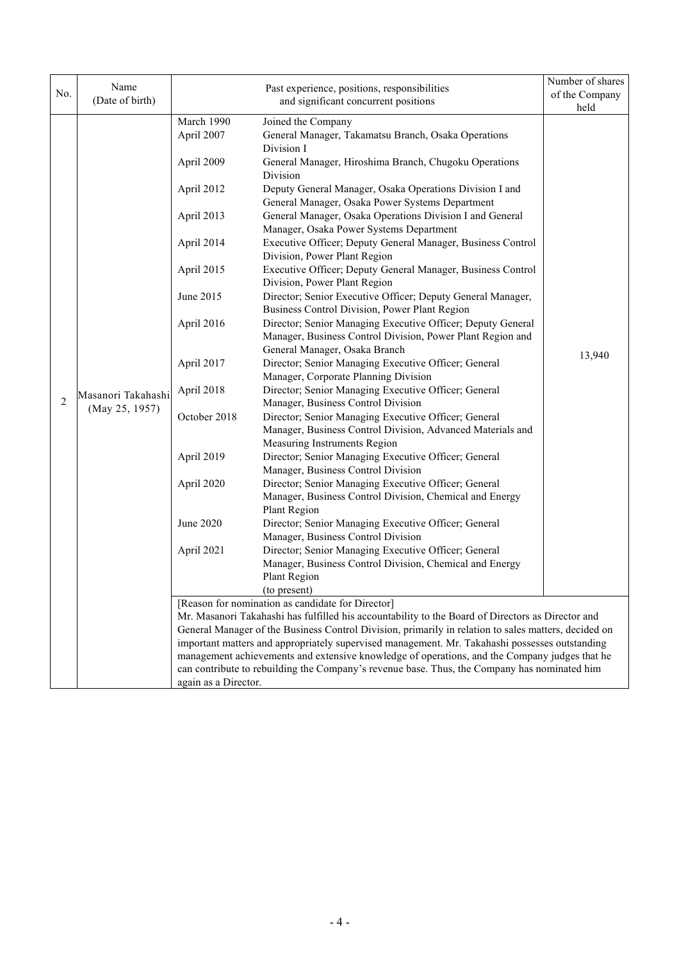| Name<br>Past experience, positions, responsibilities<br>No. |                                      |                                                                                                                            | Number of shares<br>of the Company                                                                                                                                                                     |        |  |  |
|-------------------------------------------------------------|--------------------------------------|----------------------------------------------------------------------------------------------------------------------------|--------------------------------------------------------------------------------------------------------------------------------------------------------------------------------------------------------|--------|--|--|
|                                                             | (Date of birth)                      | and significant concurrent positions                                                                                       |                                                                                                                                                                                                        | held   |  |  |
|                                                             |                                      | March 1990                                                                                                                 | Joined the Company                                                                                                                                                                                     |        |  |  |
|                                                             |                                      | April 2007                                                                                                                 | General Manager, Takamatsu Branch, Osaka Operations                                                                                                                                                    |        |  |  |
|                                                             |                                      |                                                                                                                            | Division I<br>General Manager, Hiroshima Branch, Chugoku Operations<br>Division                                                                                                                        |        |  |  |
|                                                             |                                      | April 2009                                                                                                                 |                                                                                                                                                                                                        |        |  |  |
|                                                             |                                      | April 2012                                                                                                                 | Deputy General Manager, Osaka Operations Division I and<br>General Manager, Osaka Power Systems Department                                                                                             |        |  |  |
|                                                             |                                      | General Manager, Osaka Operations Division I and General<br>April 2013<br>Manager, Osaka Power Systems Department          |                                                                                                                                                                                                        |        |  |  |
|                                                             |                                      | April 2014                                                                                                                 | Executive Officer; Deputy General Manager, Business Control                                                                                                                                            |        |  |  |
|                                                             |                                      | April 2015                                                                                                                 | Division, Power Plant Region<br>Executive Officer; Deputy General Manager, Business Control                                                                                                            |        |  |  |
|                                                             |                                      | June 2015                                                                                                                  | Division, Power Plant Region<br>Director; Senior Executive Officer; Deputy General Manager,                                                                                                            |        |  |  |
|                                                             | Masanori Takahashi<br>(May 25, 1957) | Business Control Division, Power Plant Region<br>Director; Senior Managing Executive Officer; Deputy General<br>April 2016 |                                                                                                                                                                                                        |        |  |  |
|                                                             |                                      |                                                                                                                            | Manager, Business Control Division, Power Plant Region and<br>General Manager, Osaka Branch                                                                                                            |        |  |  |
|                                                             |                                      | April 2017                                                                                                                 | Director; Senior Managing Executive Officer; General<br>Manager, Corporate Planning Division                                                                                                           | 13,940 |  |  |
|                                                             |                                      | April 2018                                                                                                                 | Director; Senior Managing Executive Officer; General                                                                                                                                                   |        |  |  |
| 2                                                           |                                      | October 2018                                                                                                               | Manager, Business Control Division                                                                                                                                                                     |        |  |  |
|                                                             |                                      |                                                                                                                            | Director; Senior Managing Executive Officer; General<br>Manager, Business Control Division, Advanced Materials and                                                                                     |        |  |  |
|                                                             |                                      |                                                                                                                            | Measuring Instruments Region                                                                                                                                                                           |        |  |  |
|                                                             |                                      | April 2019                                                                                                                 | Director; Senior Managing Executive Officer; General                                                                                                                                                   |        |  |  |
|                                                             |                                      | April 2020                                                                                                                 | Manager, Business Control Division                                                                                                                                                                     |        |  |  |
|                                                             |                                      |                                                                                                                            | Director; Senior Managing Executive Officer; General                                                                                                                                                   |        |  |  |
|                                                             |                                      |                                                                                                                            | Manager, Business Control Division, Chemical and Energy                                                                                                                                                |        |  |  |
|                                                             |                                      |                                                                                                                            | Plant Region                                                                                                                                                                                           |        |  |  |
|                                                             |                                      | June 2020                                                                                                                  | Director; Senior Managing Executive Officer; General                                                                                                                                                   |        |  |  |
|                                                             |                                      |                                                                                                                            | Manager, Business Control Division                                                                                                                                                                     |        |  |  |
|                                                             |                                      | April 2021                                                                                                                 | Director; Senior Managing Executive Officer; General                                                                                                                                                   |        |  |  |
|                                                             |                                      |                                                                                                                            | Manager, Business Control Division, Chemical and Energy                                                                                                                                                |        |  |  |
|                                                             |                                      |                                                                                                                            | Plant Region                                                                                                                                                                                           |        |  |  |
|                                                             |                                      |                                                                                                                            | (to present)                                                                                                                                                                                           |        |  |  |
|                                                             |                                      |                                                                                                                            | [Reason for nomination as candidate for Director]                                                                                                                                                      |        |  |  |
|                                                             |                                      |                                                                                                                            | Mr. Masanori Takahashi has fulfilled his accountability to the Board of Directors as Director and                                                                                                      |        |  |  |
|                                                             |                                      |                                                                                                                            | General Manager of the Business Control Division, primarily in relation to sales matters, decided on<br>important matters and appropriately supervised management. Mr. Takahashi possesses outstanding |        |  |  |
|                                                             |                                      |                                                                                                                            | management achievements and extensive knowledge of operations, and the Company judges that he                                                                                                          |        |  |  |
|                                                             |                                      |                                                                                                                            | can contribute to rebuilding the Company's revenue base. Thus, the Company has nominated him                                                                                                           |        |  |  |
|                                                             |                                      | again as a Director.                                                                                                       |                                                                                                                                                                                                        |        |  |  |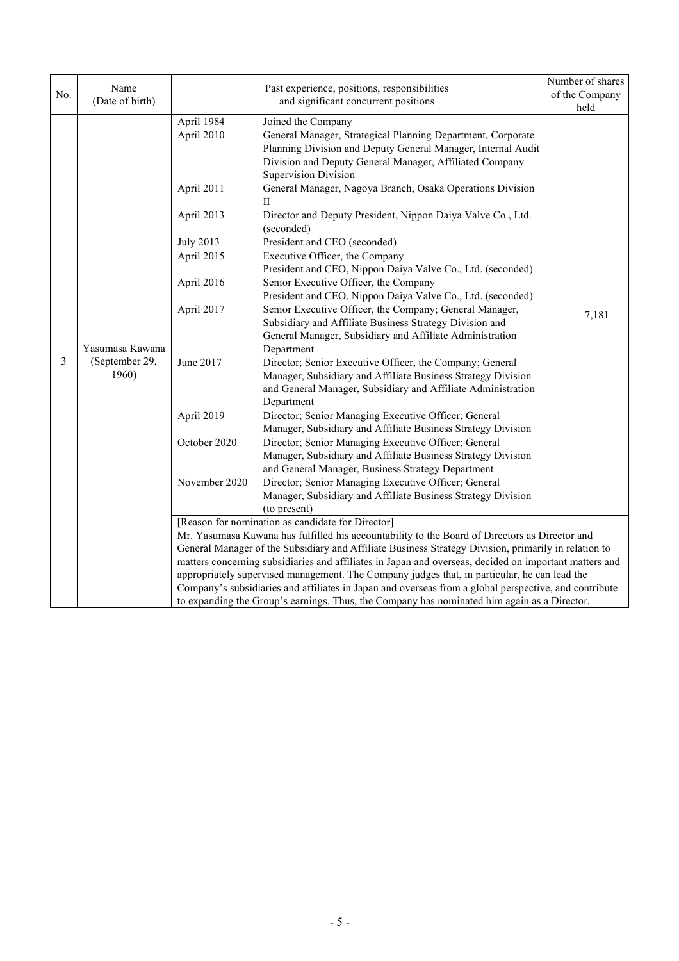|     |                                   | Past experience, positions, responsibilities            |                                                                                                                      | Number of shares |  |
|-----|-----------------------------------|---------------------------------------------------------|----------------------------------------------------------------------------------------------------------------------|------------------|--|
| No. | Name                              |                                                         |                                                                                                                      | of the Company   |  |
|     | (Date of birth)                   |                                                         | and significant concurrent positions                                                                                 | held             |  |
|     |                                   | April 1984                                              | Joined the Company                                                                                                   |                  |  |
|     |                                   | April 2010                                              | General Manager, Strategical Planning Department, Corporate                                                          |                  |  |
|     |                                   |                                                         | Planning Division and Deputy General Manager, Internal Audit                                                         |                  |  |
|     |                                   |                                                         |                                                                                                                      |                  |  |
|     |                                   |                                                         | Supervision Division                                                                                                 |                  |  |
|     |                                   | April 2011                                              | General Manager, Nagoya Branch, Osaka Operations Division<br>П                                                       |                  |  |
|     |                                   | April 2013                                              | Director and Deputy President, Nippon Daiya Valve Co., Ltd.<br>(seconded)                                            |                  |  |
|     |                                   | <b>July 2013</b>                                        | President and CEO (seconded)                                                                                         |                  |  |
|     |                                   | April 2015                                              | Executive Officer, the Company                                                                                       |                  |  |
|     |                                   |                                                         | President and CEO, Nippon Daiya Valve Co., Ltd. (seconded)                                                           |                  |  |
|     |                                   | April 2016                                              | Senior Executive Officer, the Company                                                                                |                  |  |
|     |                                   |                                                         | President and CEO, Nippon Daiya Valve Co., Ltd. (seconded)                                                           |                  |  |
|     | Yasumasa Kawana<br>(September 29, | April 2017                                              | Senior Executive Officer, the Company; General Manager,                                                              | 7,181            |  |
|     |                                   | Subsidiary and Affiliate Business Strategy Division and |                                                                                                                      |                  |  |
|     |                                   | June 2017                                               | General Manager, Subsidiary and Affiliate Administration                                                             |                  |  |
|     |                                   |                                                         | Department                                                                                                           |                  |  |
| 3   |                                   |                                                         | Director; Senior Executive Officer, the Company; General                                                             |                  |  |
|     | 1960)                             |                                                         | Manager, Subsidiary and Affiliate Business Strategy Division                                                         |                  |  |
|     |                                   |                                                         | and General Manager, Subsidiary and Affiliate Administration                                                         |                  |  |
|     |                                   |                                                         | Department                                                                                                           |                  |  |
|     | April 2019                        |                                                         | Director; Senior Managing Executive Officer; General<br>Manager, Subsidiary and Affiliate Business Strategy Division |                  |  |
|     |                                   | October 2020                                            | Director; Senior Managing Executive Officer; General                                                                 |                  |  |
|     |                                   |                                                         | Manager, Subsidiary and Affiliate Business Strategy Division                                                         |                  |  |
|     |                                   |                                                         | and General Manager, Business Strategy Department                                                                    |                  |  |
|     |                                   | November 2020                                           | Director; Senior Managing Executive Officer; General                                                                 |                  |  |
|     |                                   |                                                         | Manager, Subsidiary and Affiliate Business Strategy Division                                                         |                  |  |
|     |                                   |                                                         | (to present)                                                                                                         |                  |  |
|     |                                   |                                                         | [Reason for nomination as candidate for Director]                                                                    |                  |  |
|     |                                   |                                                         | Mr. Yasumasa Kawana has fulfilled his accountability to the Board of Directors as Director and                       |                  |  |
|     |                                   |                                                         | General Manager of the Subsidiary and Affiliate Business Strategy Division, primarily in relation to                 |                  |  |
|     |                                   |                                                         | matters concerning subsidiaries and affiliates in Japan and overseas, decided on important matters and               |                  |  |
|     |                                   |                                                         | appropriately supervised management. The Company judges that, in particular, he can lead the                         |                  |  |
|     |                                   |                                                         | Company's subsidiaries and affiliates in Japan and overseas from a global perspective, and contribute                |                  |  |
|     |                                   |                                                         | to expanding the Group's earnings. Thus, the Company has nominated him again as a Director.                          |                  |  |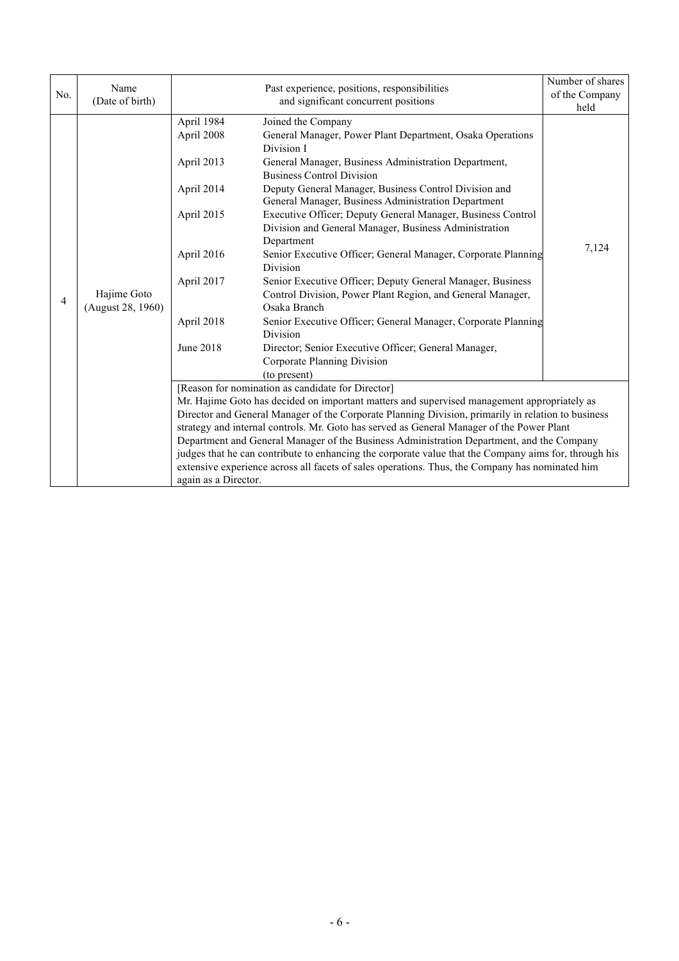| No.            | Name<br>(Date of birth)          |                                                                                                                           | Number of shares<br>of the Company<br>held                                                                                                                                                                                                                                                                                                                                                                                                                                                                                                                                                                                                                                                                                                                                                                                                                          |       |
|----------------|----------------------------------|---------------------------------------------------------------------------------------------------------------------------|---------------------------------------------------------------------------------------------------------------------------------------------------------------------------------------------------------------------------------------------------------------------------------------------------------------------------------------------------------------------------------------------------------------------------------------------------------------------------------------------------------------------------------------------------------------------------------------------------------------------------------------------------------------------------------------------------------------------------------------------------------------------------------------------------------------------------------------------------------------------|-------|
| $\overline{4}$ | Hajime Goto<br>(August 28, 1960) | April 1984<br>April 2008<br>April 2013<br>April 2014<br>April 2015<br>April 2016<br>April 2017<br>April 2018<br>June 2018 | Joined the Company<br>General Manager, Power Plant Department, Osaka Operations<br>Division I<br>General Manager, Business Administration Department,<br><b>Business Control Division</b><br>Deputy General Manager, Business Control Division and<br>General Manager, Business Administration Department<br>Executive Officer; Deputy General Manager, Business Control<br>Division and General Manager, Business Administration<br>Department<br>Senior Executive Officer; General Manager, Corporate Planning<br><b>Division</b><br>Senior Executive Officer; Deputy General Manager, Business<br>Control Division, Power Plant Region, and General Manager,<br>Osaka Branch<br>Senior Executive Officer; General Manager, Corporate Planning<br>Division<br>Director; Senior Executive Officer; General Manager,<br>Corporate Planning Division<br>(to present) | 7,124 |
|                |                                  | again as a Director.                                                                                                      | [Reason for nomination as candidate for Director]<br>Mr. Hajime Goto has decided on important matters and supervised management appropriately as<br>Director and General Manager of the Corporate Planning Division, primarily in relation to business<br>strategy and internal controls. Mr. Goto has served as General Manager of the Power Plant<br>Department and General Manager of the Business Administration Department, and the Company<br>judges that he can contribute to enhancing the corporate value that the Company aims for, through his<br>extensive experience across all facets of sales operations. Thus, the Company has nominated him                                                                                                                                                                                                        |       |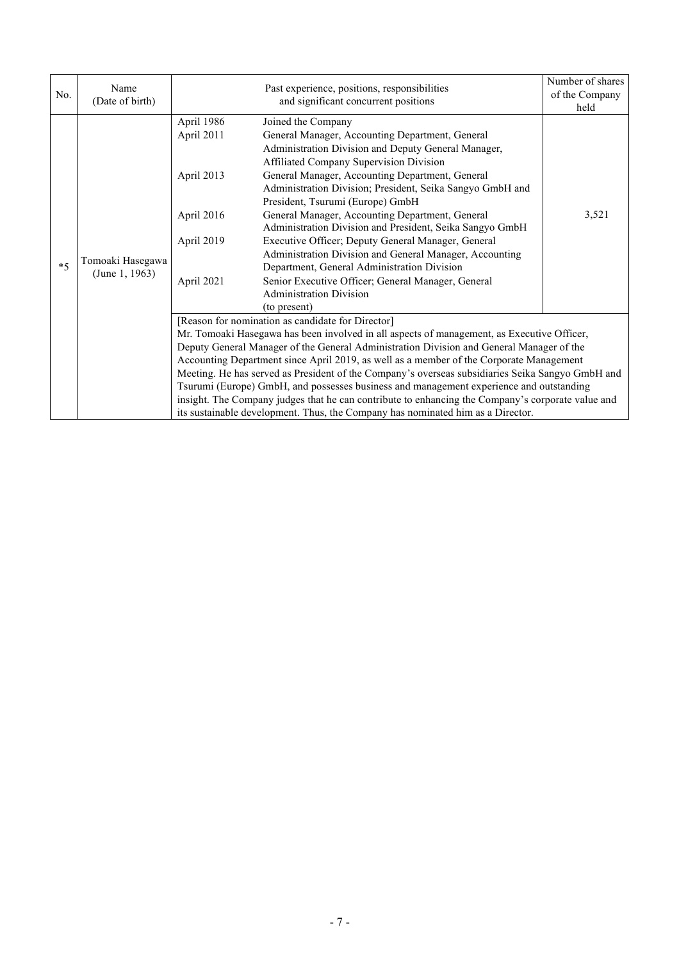| No.  | Name<br>(Date of birth)            |                                                                                  | Number of shares<br>of the Company<br>held                                                                                                                                                                                                                                                                                                                                                                                                                                                                                                                                                                                                                                                                                    |       |
|------|------------------------------------|----------------------------------------------------------------------------------|-------------------------------------------------------------------------------------------------------------------------------------------------------------------------------------------------------------------------------------------------------------------------------------------------------------------------------------------------------------------------------------------------------------------------------------------------------------------------------------------------------------------------------------------------------------------------------------------------------------------------------------------------------------------------------------------------------------------------------|-------|
| $*5$ | Tomoaki Hasegawa<br>(June 1, 1963) | April 1986<br>April 2011<br>April 2013<br>April 2016<br>April 2019<br>April 2021 | Joined the Company<br>General Manager, Accounting Department, General<br>Administration Division and Deputy General Manager,<br>Affiliated Company Supervision Division<br>General Manager, Accounting Department, General<br>Administration Division; President, Seika Sangyo GmbH and<br>President, Tsurumi (Europe) GmbH<br>General Manager, Accounting Department, General<br>Administration Division and President, Seika Sangyo GmbH<br>Executive Officer; Deputy General Manager, General<br>Administration Division and General Manager, Accounting<br>Department, General Administration Division<br>Senior Executive Officer; General Manager, General<br><b>Administration Division</b><br>(to present)            | 3,521 |
|      |                                    |                                                                                  | [Reason for nomination as candidate for Director]<br>Mr. Tomoaki Hasegawa has been involved in all aspects of management, as Executive Officer,<br>Deputy General Manager of the General Administration Division and General Manager of the<br>Accounting Department since April 2019, as well as a member of the Corporate Management<br>Meeting. He has served as President of the Company's overseas subsidiaries Seika Sangyo GmbH and<br>Tsurumi (Europe) GmbH, and possesses business and management experience and outstanding<br>insight. The Company judges that he can contribute to enhancing the Company's corporate value and<br>its sustainable development. Thus, the Company has nominated him as a Director. |       |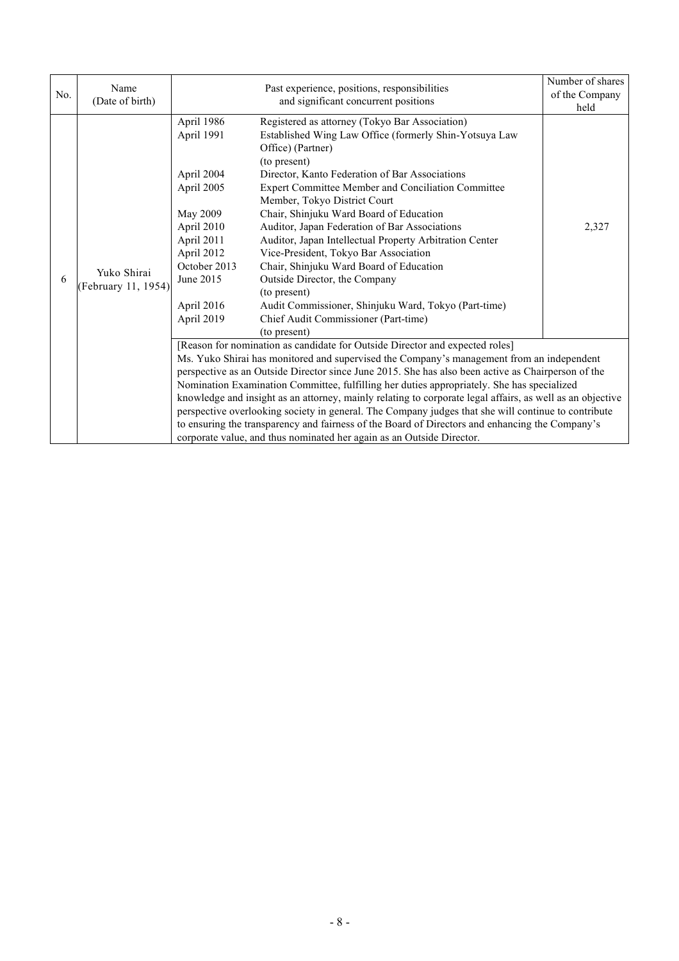| No. | Name<br>(Date of birth)            |                                                                                                                                                                     | Number of shares<br>of the Company<br>held                                                                                                                                                                                                                                                                                                                                                                                                                                                                                                                                                                                                                                                                                                                                    |       |
|-----|------------------------------------|---------------------------------------------------------------------------------------------------------------------------------------------------------------------|-------------------------------------------------------------------------------------------------------------------------------------------------------------------------------------------------------------------------------------------------------------------------------------------------------------------------------------------------------------------------------------------------------------------------------------------------------------------------------------------------------------------------------------------------------------------------------------------------------------------------------------------------------------------------------------------------------------------------------------------------------------------------------|-------|
| 6   | Yuko Shirai<br>(February 11, 1954) | April 1986<br>April 1991<br>April 2004<br>April 2005<br>May 2009<br>April 2010<br>April 2011<br>April 2012<br>October 2013<br>June 2015<br>April 2016<br>April 2019 | Registered as attorney (Tokyo Bar Association)<br>Established Wing Law Office (formerly Shin-Yotsuya Law<br>Office) (Partner)<br>(to present)<br>Director, Kanto Federation of Bar Associations<br>Expert Committee Member and Conciliation Committee<br>Member, Tokyo District Court<br>Chair, Shinjuku Ward Board of Education<br>Auditor, Japan Federation of Bar Associations<br>Auditor, Japan Intellectual Property Arbitration Center<br>Vice-President, Tokyo Bar Association<br>Chair, Shinjuku Ward Board of Education<br>Outside Director, the Company<br>(to present)<br>Audit Commissioner, Shinjuku Ward, Tokyo (Part-time)<br>Chief Audit Commissioner (Part-time)<br>(to present)                                                                             | 2,327 |
|     |                                    |                                                                                                                                                                     | [Reason for nomination as candidate for Outside Director and expected roles]<br>Ms. Yuko Shirai has monitored and supervised the Company's management from an independent<br>perspective as an Outside Director since June 2015. She has also been active as Chairperson of the<br>Nomination Examination Committee, fulfilling her duties appropriately. She has specialized<br>knowledge and insight as an attorney, mainly relating to corporate legal affairs, as well as an objective<br>perspective overlooking society in general. The Company judges that she will continue to contribute<br>to ensuring the transparency and fairness of the Board of Directors and enhancing the Company's<br>corporate value, and thus nominated her again as an Outside Director. |       |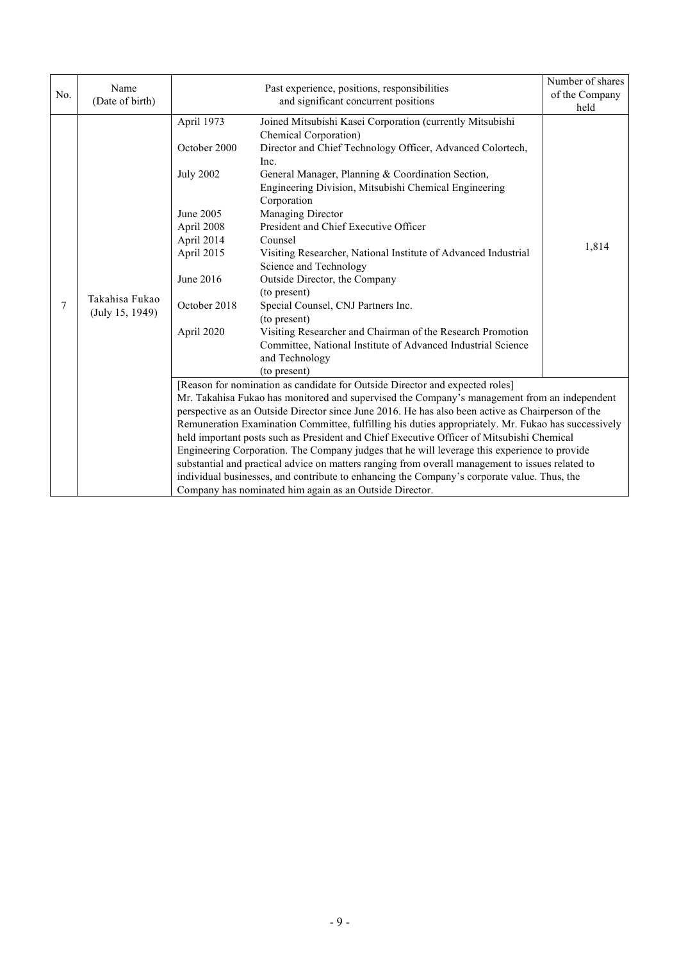| No. | Name<br>(Date of birth)           |                                                                                                                                                  | Number of shares<br>of the Company<br>held                                                                                                                                                                                                                                                                                                                                                                                                                                                                                                                                                                                                                                                                                                                                                                                                          |       |
|-----|-----------------------------------|--------------------------------------------------------------------------------------------------------------------------------------------------|-----------------------------------------------------------------------------------------------------------------------------------------------------------------------------------------------------------------------------------------------------------------------------------------------------------------------------------------------------------------------------------------------------------------------------------------------------------------------------------------------------------------------------------------------------------------------------------------------------------------------------------------------------------------------------------------------------------------------------------------------------------------------------------------------------------------------------------------------------|-------|
| 7   | Takahisa Fukao<br>(July 15, 1949) | April 1973<br>October 2000<br><b>July 2002</b><br>June 2005<br>April 2008<br>April 2014<br>April 2015<br>June 2016<br>October 2018<br>April 2020 | Joined Mitsubishi Kasei Corporation (currently Mitsubishi<br>Chemical Corporation)<br>Director and Chief Technology Officer, Advanced Colortech,<br>Inc.<br>General Manager, Planning & Coordination Section,<br>Engineering Division, Mitsubishi Chemical Engineering<br>Corporation<br>Managing Director<br>President and Chief Executive Officer<br>Counsel<br>Visiting Researcher, National Institute of Advanced Industrial<br>Science and Technology<br>Outside Director, the Company<br>(to present)<br>Special Counsel, CNJ Partners Inc.<br>(to present)<br>Visiting Researcher and Chairman of the Research Promotion<br>Committee, National Institute of Advanced Industrial Science<br>and Technology<br>(to present)                                                                                                                   | 1,814 |
|     |                                   |                                                                                                                                                  | [Reason for nomination as candidate for Outside Director and expected roles]<br>Mr. Takahisa Fukao has monitored and supervised the Company's management from an independent<br>perspective as an Outside Director since June 2016. He has also been active as Chairperson of the<br>Remuneration Examination Committee, fulfilling his duties appropriately. Mr. Fukao has successively<br>held important posts such as President and Chief Executive Officer of Mitsubishi Chemical<br>Engineering Corporation. The Company judges that he will leverage this experience to provide<br>substantial and practical advice on matters ranging from overall management to issues related to<br>individual businesses, and contribute to enhancing the Company's corporate value. Thus, the<br>Company has nominated him again as an Outside Director. |       |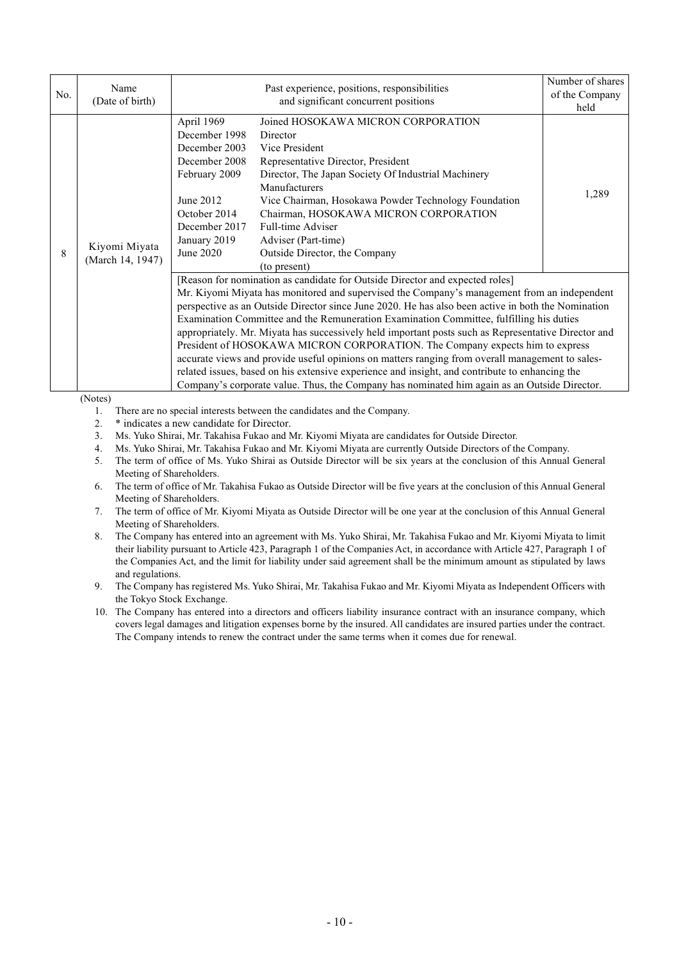| No. | Name<br>(Date of birth)           |                                                                                                                                                                                                                                                                                                                                                                                                                                                                                                                                                                                                                                                                                                                                                                                                                                                                          | Number of shares<br>of the Company<br>held                                                                                                                                                                                                                                                                                                                                   |       |
|-----|-----------------------------------|--------------------------------------------------------------------------------------------------------------------------------------------------------------------------------------------------------------------------------------------------------------------------------------------------------------------------------------------------------------------------------------------------------------------------------------------------------------------------------------------------------------------------------------------------------------------------------------------------------------------------------------------------------------------------------------------------------------------------------------------------------------------------------------------------------------------------------------------------------------------------|------------------------------------------------------------------------------------------------------------------------------------------------------------------------------------------------------------------------------------------------------------------------------------------------------------------------------------------------------------------------------|-------|
| 8   | Kiyomi Miyata<br>(March 14, 1947) | April 1969<br>December 1998<br>December 2003<br>December 2008<br>February 2009<br>June 2012<br>October 2014<br>December 2017<br>January 2019<br>June 2020                                                                                                                                                                                                                                                                                                                                                                                                                                                                                                                                                                                                                                                                                                                | Joined HOSOKAWA MICRON CORPORATION<br>Director<br>Vice President<br>Representative Director, President<br>Director, The Japan Society Of Industrial Machinery<br>Manufacturers<br>Vice Chairman, Hosokawa Powder Technology Foundation<br>Chairman, HOSOKAWA MICRON CORPORATION<br>Full-time Adviser<br>Adviser (Part-time)<br>Outside Director, the Company<br>(to present) | 1,289 |
|     |                                   | [Reason for nomination as candidate for Outside Director and expected roles]<br>Mr. Kiyomi Miyata has monitored and supervised the Company's management from an independent<br>perspective as an Outside Director since June 2020. He has also been active in both the Nomination<br>Examination Committee and the Remuneration Examination Committee, fulfilling his duties<br>appropriately. Mr. Miyata has successively held important posts such as Representative Director and<br>President of HOSOKAWA MICRON CORPORATION. The Company expects him to express<br>accurate views and provide useful opinions on matters ranging from overall management to sales-<br>related issues, based on his extensive experience and insight, and contribute to enhancing the<br>Company's corporate value. Thus, the Company has nominated him again as an Outside Director. |                                                                                                                                                                                                                                                                                                                                                                              |       |

(Notes)

1. There are no special interests between the candidates and the Company.

2. \* indicates a new candidate for Director.

3. Ms. Yuko Shirai, Mr. Takahisa Fukao and Mr. Kiyomi Miyata are candidates for Outside Director.

4. Ms. Yuko Shirai, Mr. Takahisa Fukao and Mr. Kiyomi Miyata are currently Outside Directors of the Company.

5. The term of office of Ms. Yuko Shirai as Outside Director will be six years at the conclusion of this Annual General Meeting of Shareholders.

6. The term of office of Mr. Takahisa Fukao as Outside Director will be five years at the conclusion of this Annual General Meeting of Shareholders.

7. The term of office of Mr. Kiyomi Miyata as Outside Director will be one year at the conclusion of this Annual General Meeting of Shareholders.

8. The Company has entered into an agreement with Ms. Yuko Shirai, Mr. Takahisa Fukao and Mr. Kiyomi Miyata to limit their liability pursuant to Article 423, Paragraph 1 of the Companies Act, in accordance with Article 427, Paragraph 1 of the Companies Act, and the limit for liability under said agreement shall be the minimum amount as stipulated by laws and regulations.

9. The Company has registered Ms. Yuko Shirai, Mr. Takahisa Fukao and Mr. Kiyomi Miyata as Independent Officers with the Tokyo Stock Exchange.

10. The Company has entered into a directors and officers liability insurance contract with an insurance company, which covers legal damages and litigation expenses borne by the insured. All candidates are insured parties under the contract. The Company intends to renew the contract under the same terms when it comes due for renewal.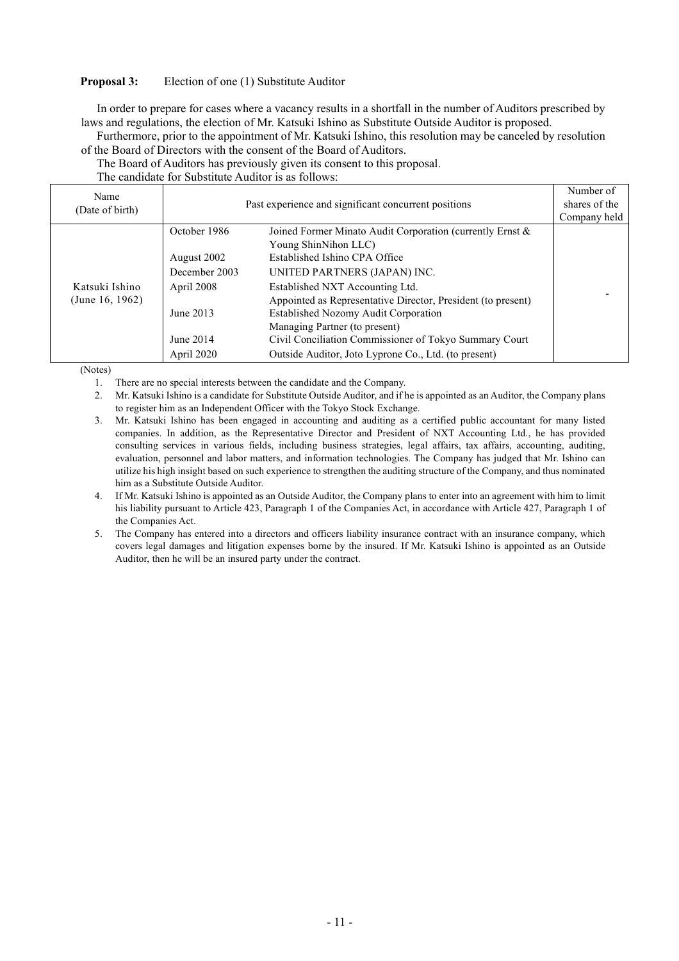### **Proposal 3:** Election of one (1) Substitute Auditor

In order to prepare for cases where a vacancy results in a shortfall in the number of Auditors prescribed by laws and regulations, the election of Mr. Katsuki Ishino as Substitute Outside Auditor is proposed.

Furthermore, prior to the appointment of Mr. Katsuki Ishino, this resolution may be canceled by resolution of the Board of Directors with the consent of the Board of Auditors.

The Board of Auditors has previously given its consent to this proposal.

| Name<br>(Date of birth)           | Past experience and significant concurrent positions                                               | Number of<br>shares of the<br>Company held                                                                                                                                                                                                                                                                                                                                                                                                       |  |
|-----------------------------------|----------------------------------------------------------------------------------------------------|--------------------------------------------------------------------------------------------------------------------------------------------------------------------------------------------------------------------------------------------------------------------------------------------------------------------------------------------------------------------------------------------------------------------------------------------------|--|
| Katsuki Ishino<br>(June 16, 1962) | October 1986<br>August 2002<br>December 2003<br>April 2008<br>June 2013<br>June 2014<br>April 2020 | Joined Former Minato Audit Corporation (currently Ernst &<br>Young ShinNihon LLC)<br>Established Ishino CPA Office<br>UNITED PARTNERS (JAPAN) INC.<br>Established NXT Accounting Ltd.<br>Appointed as Representative Director, President (to present)<br>Established Nozomy Audit Corporation<br>Managing Partner (to present)<br>Civil Conciliation Commissioner of Tokyo Summary Court<br>Outside Auditor, Joto Lyprone Co., Ltd. (to present) |  |

(Notes)

- 1. There are no special interests between the candidate and the Company.
- 2. Mr. Katsuki Ishino is a candidate for Substitute Outside Auditor, and if he is appointed as an Auditor, the Company plans to register him as an Independent Officer with the Tokyo Stock Exchange.
- 3. Mr. Katsuki Ishino has been engaged in accounting and auditing as a certified public accountant for many listed companies. In addition, as the Representative Director and President of NXT Accounting Ltd., he has provided consulting services in various fields, including business strategies, legal affairs, tax affairs, accounting, auditing, evaluation, personnel and labor matters, and information technologies. The Company has judged that Mr. Ishino can utilize his high insight based on such experience to strengthen the auditing structure of the Company, and thus nominated him as a Substitute Outside Auditor.
- 4. If Mr. Katsuki Ishino is appointed as an Outside Auditor, the Company plans to enter into an agreement with him to limit his liability pursuant to Article 423, Paragraph 1 of the Companies Act, in accordance with Article 427, Paragraph 1 of the Companies Act.
- 5. The Company has entered into a directors and officers liability insurance contract with an insurance company, which covers legal damages and litigation expenses borne by the insured. If Mr. Katsuki Ishino is appointed as an Outside Auditor, then he will be an insured party under the contract.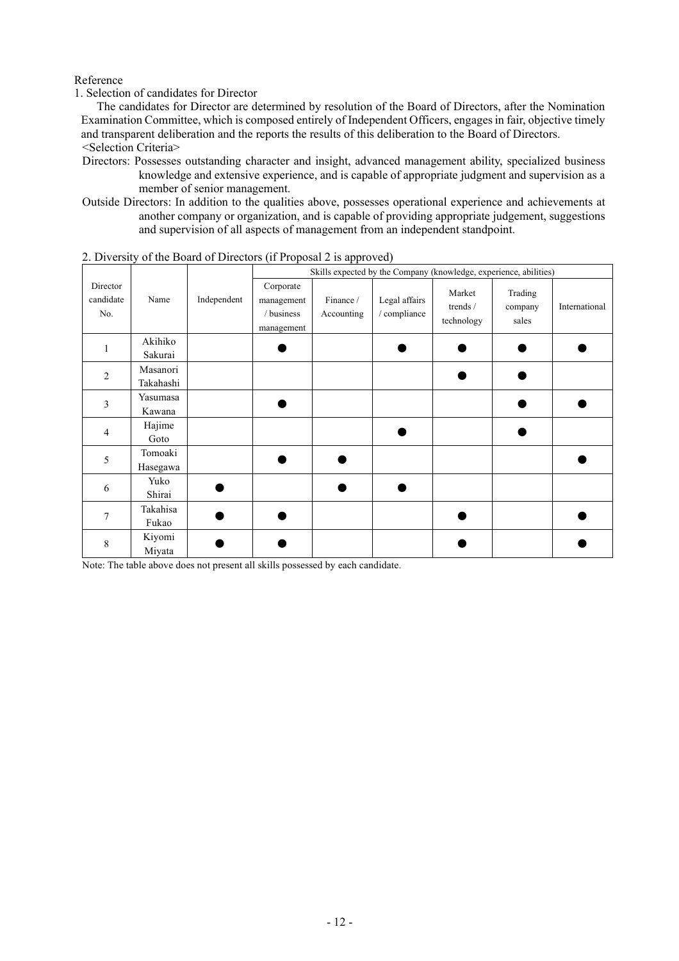## Reference

### 1. Selection of candidates for Director

The candidates for Director are determined by resolution of the Board of Directors, after the Nomination Examination Committee, which is composed entirely of Independent Officers, engages in fair, objective timely and transparent deliberation and the reports the results of this deliberation to the Board of Directors. <Selection Criteria>

- Directors: Possesses outstanding character and insight, advanced management ability, specialized business knowledge and extensive experience, and is capable of appropriate judgment and supervision as a member of senior management.
- Outside Directors: In addition to the qualities above, possesses operational experience and achievements at another company or organization, and is capable of providing appropriate judgement, suggestions and supervision of all aspects of management from an independent standpoint.

|                              |           |             | Skills expected by the Company (knowledge, experience, abilities) |                         |                               |                                  |                             |               |
|------------------------------|-----------|-------------|-------------------------------------------------------------------|-------------------------|-------------------------------|----------------------------------|-----------------------------|---------------|
| Director<br>candidate<br>No. | Name      | Independent | Corporate<br>management<br>/ business<br>management               | Finance /<br>Accounting | Legal affairs<br>/ compliance | Market<br>trends /<br>technology | Trading<br>company<br>sales | International |
|                              | Akihiko   |             |                                                                   |                         |                               |                                  |                             |               |
|                              | Sakurai   |             |                                                                   |                         |                               |                                  |                             |               |
| $\overline{2}$               | Masanori  |             |                                                                   |                         |                               |                                  |                             |               |
|                              | Takahashi |             |                                                                   |                         |                               |                                  |                             |               |
| 3                            | Yasumasa  |             |                                                                   |                         |                               |                                  |                             |               |
|                              | Kawana    |             |                                                                   |                         |                               |                                  |                             |               |
| 4                            | Hajime    |             |                                                                   |                         |                               |                                  |                             |               |
|                              | Goto      |             |                                                                   |                         |                               |                                  |                             |               |
|                              | Tomoaki   |             |                                                                   |                         |                               |                                  |                             |               |
| 5                            | Hasegawa  |             |                                                                   |                         |                               |                                  |                             |               |
| 6                            | Yuko      |             |                                                                   |                         |                               |                                  |                             |               |
|                              | Shirai    |             |                                                                   |                         |                               |                                  |                             |               |
| 7                            | Takahisa  |             |                                                                   |                         |                               |                                  |                             |               |
|                              | Fukao     |             |                                                                   |                         |                               |                                  |                             |               |
|                              | Kiyomi    |             |                                                                   |                         |                               |                                  |                             |               |
| 8                            | Miyata    |             |                                                                   |                         |                               |                                  |                             |               |

2. Diversity of the Board of Directors (if Proposal 2 is approved)

Note: The table above does not present all skills possessed by each candidate.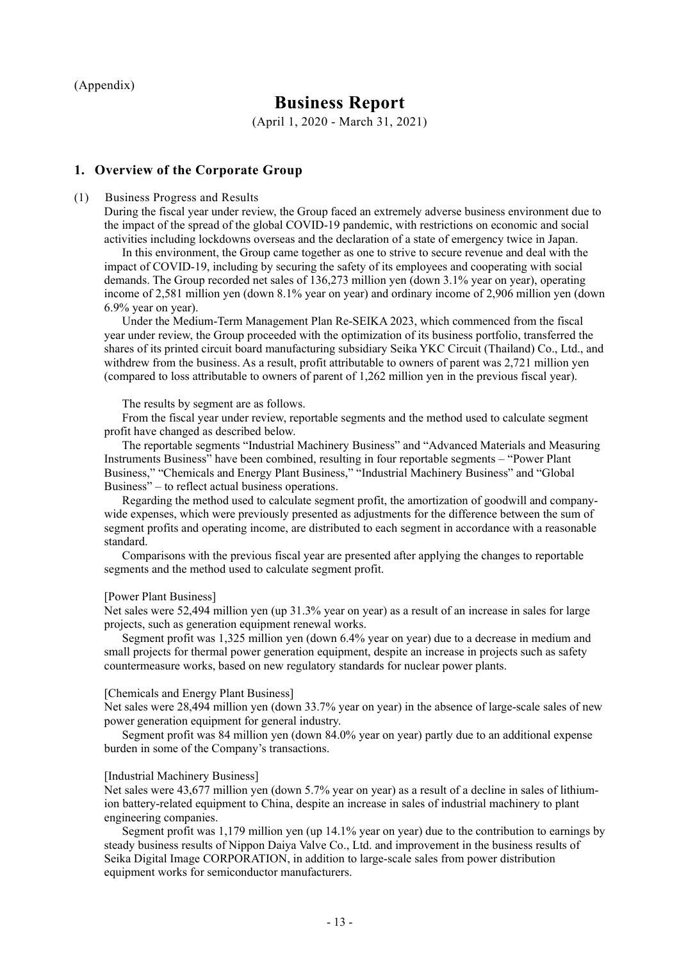(Appendix)

# **Business Report**

(April 1, 2020 - March 31, 2021)

# **1. Overview of the Corporate Group**

#### (1) Business Progress and Results

During the fiscal year under review, the Group faced an extremely adverse business environment due to the impact of the spread of the global COVID-19 pandemic, with restrictions on economic and social activities including lockdowns overseas and the declaration of a state of emergency twice in Japan.

In this environment, the Group came together as one to strive to secure revenue and deal with the impact of COVID-19, including by securing the safety of its employees and cooperating with social demands. The Group recorded net sales of 136,273 million yen (down 3.1% year on year), operating income of 2,581 million yen (down 8.1% year on year) and ordinary income of 2,906 million yen (down 6.9% year on year).

Under the Medium-Term Management Plan Re-SEIKA 2023, which commenced from the fiscal year under review, the Group proceeded with the optimization of its business portfolio, transferred the shares of its printed circuit board manufacturing subsidiary Seika YKC Circuit (Thailand) Co., Ltd., and withdrew from the business. As a result, profit attributable to owners of parent was 2,721 million yen (compared to loss attributable to owners of parent of 1,262 million yen in the previous fiscal year).

#### The results by segment are as follows.

From the fiscal year under review, reportable segments and the method used to calculate segment profit have changed as described below.

The reportable segments "Industrial Machinery Business" and "Advanced Materials and Measuring Instruments Business" have been combined, resulting in four reportable segments – "Power Plant Business," "Chemicals and Energy Plant Business," "Industrial Machinery Business" and "Global Business" – to reflect actual business operations.

Regarding the method used to calculate segment profit, the amortization of goodwill and companywide expenses, which were previously presented as adjustments for the difference between the sum of segment profits and operating income, are distributed to each segment in accordance with a reasonable standard.

Comparisons with the previous fiscal year are presented after applying the changes to reportable segments and the method used to calculate segment profit.

#### [Power Plant Business]

Net sales were 52,494 million yen (up 31.3% year on year) as a result of an increase in sales for large projects, such as generation equipment renewal works.

Segment profit was 1,325 million yen (down 6.4% year on year) due to a decrease in medium and small projects for thermal power generation equipment, despite an increase in projects such as safety countermeasure works, based on new regulatory standards for nuclear power plants.

#### [Chemicals and Energy Plant Business]

Net sales were 28,494 million yen (down 33.7% year on year) in the absence of large-scale sales of new power generation equipment for general industry.

Segment profit was 84 million yen (down 84.0% year on year) partly due to an additional expense burden in some of the Company's transactions.

#### [Industrial Machinery Business]

Net sales were 43,677 million yen (down 5.7% year on year) as a result of a decline in sales of lithiumion battery-related equipment to China, despite an increase in sales of industrial machinery to plant engineering companies.

Segment profit was 1,179 million yen (up 14.1% year on year) due to the contribution to earnings by steady business results of Nippon Daiya Valve Co., Ltd. and improvement in the business results of Seika Digital Image CORPORATION, in addition to large-scale sales from power distribution equipment works for semiconductor manufacturers.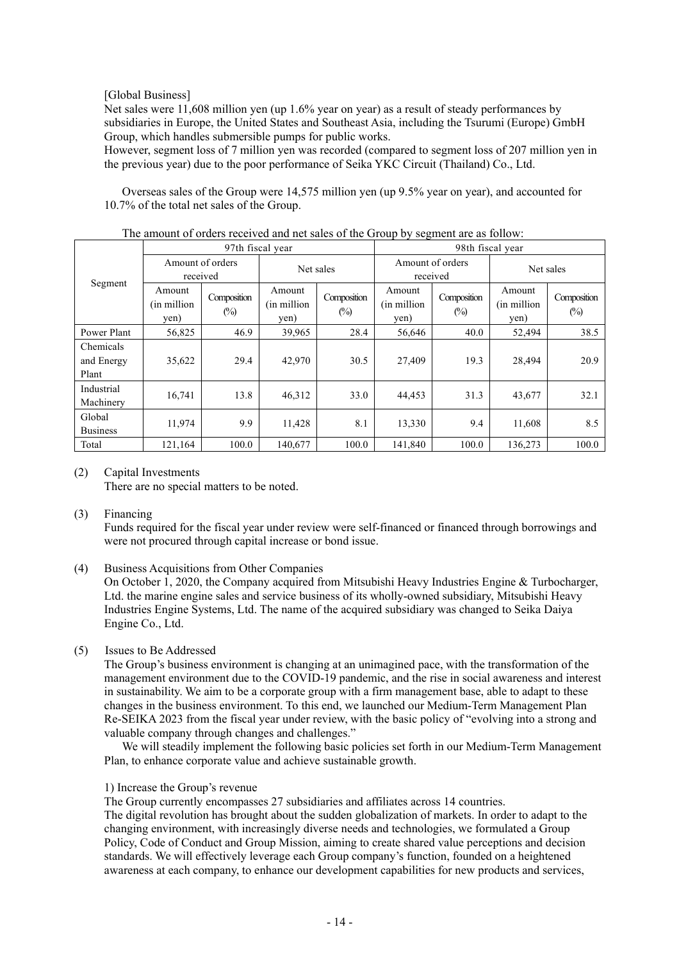## [Global Business]

Net sales were 11,608 million yen (up 1.6% year on year) as a result of steady performances by subsidiaries in Europe, the United States and Southeast Asia, including the Tsurumi (Europe) GmbH Group, which handles submersible pumps for public works.

However, segment loss of 7 million yen was recorded (compared to segment loss of 207 million yen in the previous year) due to the poor performance of Seika YKC Circuit (Thailand) Co., Ltd.

Overseas sales of the Group were 14,575 million yen (up 9.5% year on year), and accounted for 10.7% of the total net sales of the Group.

|                                  |                                | 97th fiscal year      |                                |                       | 98th fiscal year               |                              |                               |                               |
|----------------------------------|--------------------------------|-----------------------|--------------------------------|-----------------------|--------------------------------|------------------------------|-------------------------------|-------------------------------|
|                                  | Amount of orders<br>received   |                       |                                | Net sales             |                                | Amount of orders<br>received | Net sales                     |                               |
| Segment                          | Amount<br>(in million)<br>yen) | Composition<br>$(\%)$ | Amount<br>(in million)<br>yen) | Composition<br>$(\%)$ | Amount<br>(in million)<br>yen) | Composition<br>$(\%)$        | Amount<br>(in million<br>yen) | Composition<br>$\binom{0}{0}$ |
| Power Plant                      | 56,825                         | 46.9                  | 39,965                         | 28.4                  | 56,646                         | 40.0                         | 52,494                        | 38.5                          |
| Chemicals<br>and Energy<br>Plant | 35,622                         | 29.4                  | 42,970                         | 30.5                  | 27.409                         | 19.3                         | 28,494                        | 20.9                          |
| Industrial<br>Machinery          | 16,741                         | 13.8                  | 46,312                         | 33.0                  | 44,453                         | 31.3                         | 43,677                        | 32.1                          |
| Global<br><b>Business</b>        | 11.974                         | 9.9                   | 11,428                         | 8.1                   | 13,330                         | 9.4                          | 11,608                        | 8.5                           |
| Total                            | 121,164                        | 100.0                 | 140,677                        | 100.0                 | 141,840                        | 100.0                        | 136,273                       | 100.0                         |

The amount of orders received and net sales of the Group by segment are as follow:

### (2) Capital Investments

There are no special matters to be noted.

### (3) Financing

Funds required for the fiscal year under review were self-financed or financed through borrowings and were not procured through capital increase or bond issue.

(4) Business Acquisitions from Other Companies

On October 1, 2020, the Company acquired from Mitsubishi Heavy Industries Engine & Turbocharger, Ltd. the marine engine sales and service business of its wholly-owned subsidiary, Mitsubishi Heavy Industries Engine Systems, Ltd. The name of the acquired subsidiary was changed to Seika Daiya Engine Co., Ltd.

# (5) Issues to Be Addressed

The Group's business environment is changing at an unimagined pace, with the transformation of the management environment due to the COVID-19 pandemic, and the rise in social awareness and interest in sustainability. We aim to be a corporate group with a firm management base, able to adapt to these changes in the business environment. To this end, we launched our Medium-Term Management Plan Re-SEIKA 2023 from the fiscal year under review, with the basic policy of "evolving into a strong and valuable company through changes and challenges."

We will steadily implement the following basic policies set forth in our Medium-Term Management Plan, to enhance corporate value and achieve sustainable growth.

### 1) Increase the Group's revenue

The Group currently encompasses 27 subsidiaries and affiliates across 14 countries.

The digital revolution has brought about the sudden globalization of markets. In order to adapt to the changing environment, with increasingly diverse needs and technologies, we formulated a Group Policy, Code of Conduct and Group Mission, aiming to create shared value perceptions and decision standards. We will effectively leverage each Group company's function, founded on a heightened awareness at each company, to enhance our development capabilities for new products and services,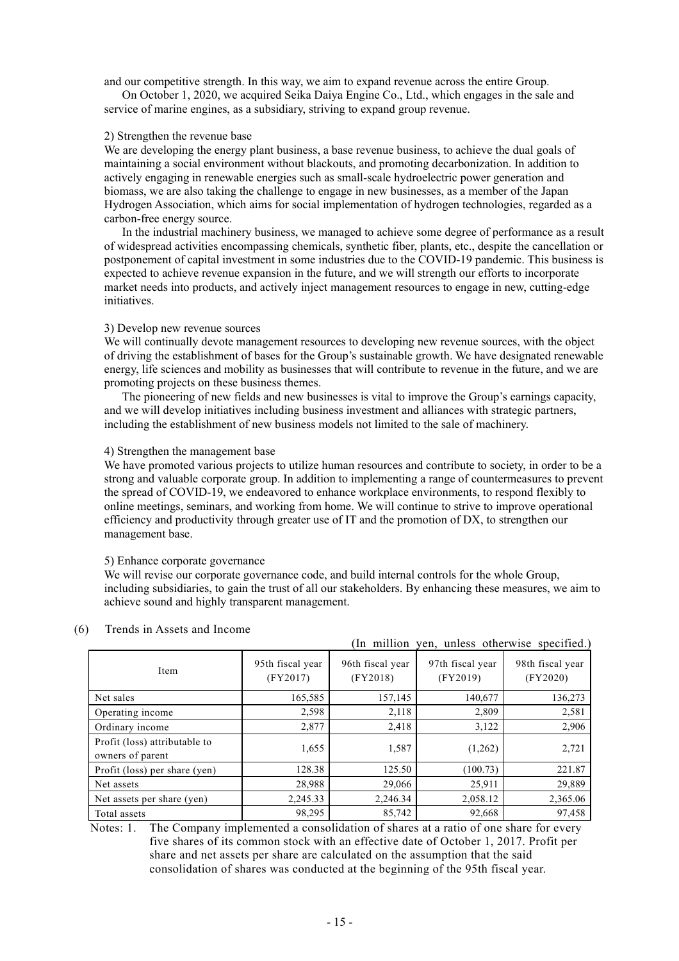and our competitive strength. In this way, we aim to expand revenue across the entire Group.

On October 1, 2020, we acquired Seika Daiya Engine Co., Ltd., which engages in the sale and service of marine engines, as a subsidiary, striving to expand group revenue.

#### 2) Strengthen the revenue base

We are developing the energy plant business, a base revenue business, to achieve the dual goals of maintaining a social environment without blackouts, and promoting decarbonization. In addition to actively engaging in renewable energies such as small-scale hydroelectric power generation and biomass, we are also taking the challenge to engage in new businesses, as a member of the Japan Hydrogen Association, which aims for social implementation of hydrogen technologies, regarded as a carbon-free energy source.

In the industrial machinery business, we managed to achieve some degree of performance as a result of widespread activities encompassing chemicals, synthetic fiber, plants, etc., despite the cancellation or postponement of capital investment in some industries due to the COVID-19 pandemic. This business is expected to achieve revenue expansion in the future, and we will strength our efforts to incorporate market needs into products, and actively inject management resources to engage in new, cutting-edge initiatives.

#### 3) Develop new revenue sources

We will continually devote management resources to developing new revenue sources, with the object of driving the establishment of bases for the Group's sustainable growth. We have designated renewable energy, life sciences and mobility as businesses that will contribute to revenue in the future, and we are promoting projects on these business themes.

The pioneering of new fields and new businesses is vital to improve the Group's earnings capacity, and we will develop initiatives including business investment and alliances with strategic partners, including the establishment of new business models not limited to the sale of machinery.

#### 4) Strengthen the management base

We have promoted various projects to utilize human resources and contribute to society, in order to be a strong and valuable corporate group. In addition to implementing a range of countermeasures to prevent the spread of COVID-19, we endeavored to enhance workplace environments, to respond flexibly to online meetings, seminars, and working from home. We will continue to strive to improve operational efficiency and productivity through greater use of IT and the promotion of DX, to strengthen our management base.

#### 5) Enhance corporate governance

We will revise our corporate governance code, and build internal controls for the whole Group, including subsidiaries, to gain the trust of all our stakeholders. By enhancing these measures, we aim to achieve sound and highly transparent management.

|                                                   |                              |                              | (In million yen, unless otherwise specified.) |                              |
|---------------------------------------------------|------------------------------|------------------------------|-----------------------------------------------|------------------------------|
| Item                                              | 95th fiscal year<br>(FY2017) | 96th fiscal year<br>(FY2018) | 97th fiscal year<br>(FY2019)                  | 98th fiscal year<br>(FY2020) |
| Net sales                                         | 165,585                      | 157,145                      | 140,677                                       | 136,273                      |
| Operating income                                  | 2,598                        | 2,118                        | 2,809                                         | 2,581                        |
| Ordinary income                                   | 2,877                        | 2,418                        | 3,122                                         | 2,906                        |
| Profit (loss) attributable to<br>owners of parent | 1,655                        | 1,587                        | (1,262)                                       | 2,721                        |
| Profit (loss) per share (yen)                     | 128.38                       | 125.50                       | (100.73)                                      | 221.87                       |
| Net assets                                        | 28,988                       | 29,066                       | 25,911                                        | 29,889                       |
| Net assets per share (yen)                        | 2,245.33                     | 2,246.34                     | 2,058.12                                      | 2,365.06                     |
| Total assets                                      | 98,295                       | 85,742                       | 92,668                                        | 97,458                       |

#### (6) Trends in Assets and Income

Notes: 1. The Company implemented a consolidation of shares at a ratio of one share for every five shares of its common stock with an effective date of October 1, 2017. Profit per share and net assets per share are calculated on the assumption that the said consolidation of shares was conducted at the beginning of the 95th fiscal year.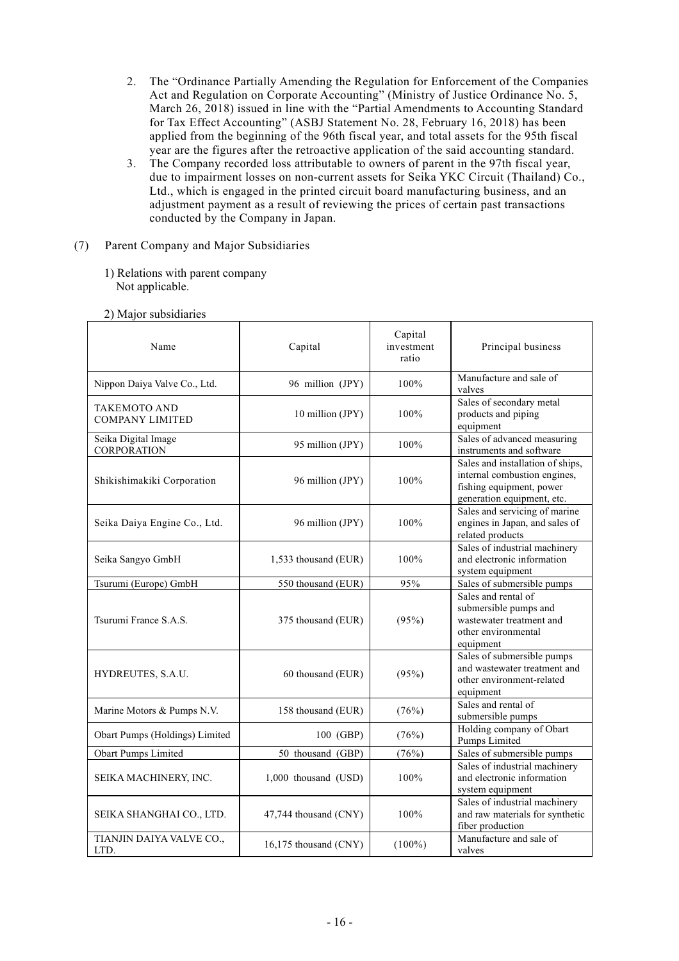- 2. The "Ordinance Partially Amending the Regulation for Enforcement of the Companies Act and Regulation on Corporate Accounting" (Ministry of Justice Ordinance No. 5, March 26, 2018) issued in line with the "Partial Amendments to Accounting Standard for Tax Effect Accounting" (ASBJ Statement No. 28, February 16, 2018) has been applied from the beginning of the 96th fiscal year, and total assets for the 95th fiscal year are the figures after the retroactive application of the said accounting standard.
- 3. The Company recorded loss attributable to owners of parent in the 97th fiscal year, due to impairment losses on non-current assets for Seika YKC Circuit (Thailand) Co., Ltd., which is engaged in the printed circuit board manufacturing business, and an adjustment payment as a result of reviewing the prices of certain past transactions conducted by the Company in Japan.
- (7) Parent Company and Major Subsidiaries
	- 1) Relations with parent company Not applicable.

| Name                                          | Capital               | Capital<br>investment<br>ratio | Principal business                                                                                                         |
|-----------------------------------------------|-----------------------|--------------------------------|----------------------------------------------------------------------------------------------------------------------------|
| Nippon Daiya Valve Co., Ltd.                  | 96 million (JPY)      | 100%                           | Manufacture and sale of<br>valves                                                                                          |
| <b>TAKEMOTO AND</b><br><b>COMPANY LIMITED</b> | 10 million (JPY)      | 100%                           | Sales of secondary metal<br>products and piping<br>equipment                                                               |
| Seika Digital Image<br><b>CORPORATION</b>     | 95 million (JPY)      | 100%                           | Sales of advanced measuring<br>instruments and software                                                                    |
| Shikishimakiki Corporation                    | 96 million (JPY)      | 100%                           | Sales and installation of ships,<br>internal combustion engines,<br>fishing equipment, power<br>generation equipment, etc. |
| Seika Daiya Engine Co., Ltd.                  | 96 million (JPY)      | 100%                           | Sales and servicing of marine<br>engines in Japan, and sales of<br>related products                                        |
| Seika Sangyo GmbH                             | 1,533 thousand (EUR)  | 100%                           | Sales of industrial machinery<br>and electronic information<br>system equipment                                            |
| Tsurumi (Europe) GmbH                         | 550 thousand (EUR)    | 95%                            | Sales of submersible pumps                                                                                                 |
| Tsurumi France S.A.S.                         | 375 thousand (EUR)    | (95%)                          | Sales and rental of<br>submersible pumps and<br>wastewater treatment and<br>other environmental<br>equipment               |
| HYDREUTES, S.A.U.                             | 60 thousand (EUR)     | (95%)                          | Sales of submersible pumps<br>and wastewater treatment and<br>other environment-related<br>equipment                       |
| Marine Motors & Pumps N.V.                    | 158 thousand (EUR)    | (76%)                          | Sales and rental of<br>submersible pumps                                                                                   |
| Obart Pumps (Holdings) Limited                | 100 (GBP)             | (76%)                          | Holding company of Obart<br>Pumps Limited                                                                                  |
| <b>Obart Pumps Limited</b>                    | 50 thousand (GBP)     | (76%)                          | Sales of submersible pumps                                                                                                 |
| SEIKA MACHINERY, INC.                         | 1,000 thousand (USD)  | 100%                           | Sales of industrial machinery<br>and electronic information<br>system equipment                                            |
| SEIKA SHANGHAI CO., LTD.                      | 47,744 thousand (CNY) | $100\%$                        | Sales of industrial machinery<br>and raw materials for synthetic<br>fiber production                                       |
| TIANJIN DAIYA VALVE CO.,<br>LTD.              | 16,175 thousand (CNY) | $(100\%)$                      | Manufacture and sale of<br>valves                                                                                          |

2) Major subsidiaries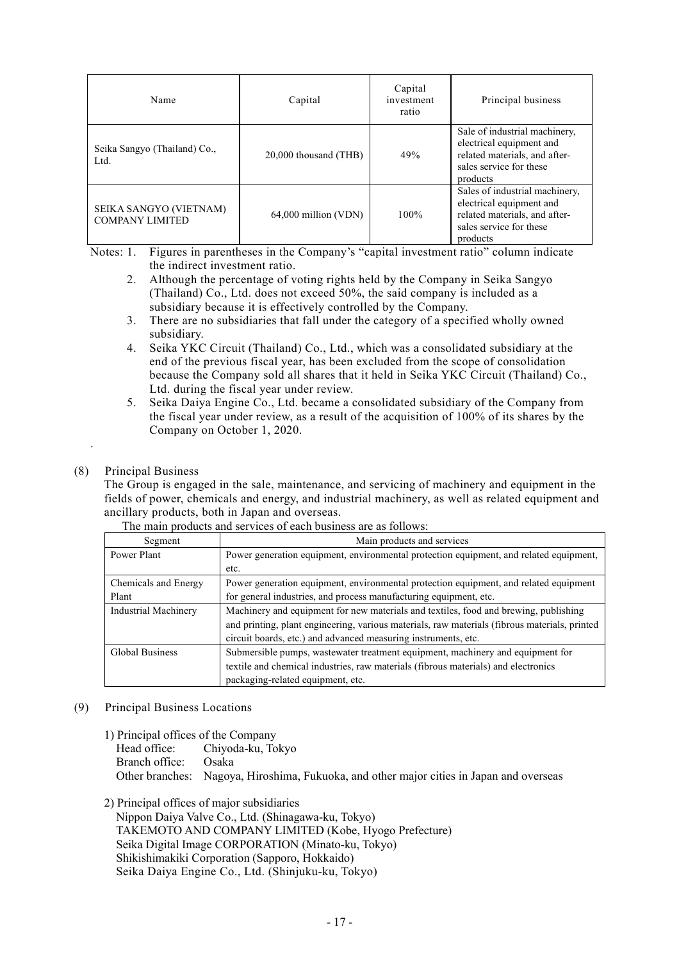| Name                                             | Capital                | Capital<br>investment<br>ratio | Principal business                                                                                                                 |
|--------------------------------------------------|------------------------|--------------------------------|------------------------------------------------------------------------------------------------------------------------------------|
| Seika Sangyo (Thailand) Co.,<br>Ltd.             | 20,000 thousand (THB)  | 49%                            | Sale of industrial machinery,<br>electrical equipment and<br>related materials, and after-<br>sales service for these<br>products  |
| SEIKA SANGYO (VIETNAM)<br><b>COMPANY LIMITED</b> | $64,000$ million (VDN) | 100%                           | Sales of industrial machinery,<br>electrical equipment and<br>related materials, and after-<br>sales service for these<br>products |

Notes: 1. Figures in parentheses in the Company's "capital investment ratio" column indicate the indirect investment ratio.

- 2. Although the percentage of voting rights held by the Company in Seika Sangyo (Thailand) Co., Ltd. does not exceed 50%, the said company is included as a subsidiary because it is effectively controlled by the Company.
- 3. There are no subsidiaries that fall under the category of a specified wholly owned subsidiary.
- 4. Seika YKC Circuit (Thailand) Co., Ltd., which was a consolidated subsidiary at the end of the previous fiscal year, has been excluded from the scope of consolidation because the Company sold all shares that it held in Seika YKC Circuit (Thailand) Co., Ltd. during the fiscal year under review.
- 5. Seika Daiya Engine Co., Ltd. became a consolidated subsidiary of the Company from the fiscal year under review, as a result of the acquisition of 100% of its shares by the Company on October 1, 2020.

# (8) Principal Business

.

The Group is engaged in the sale, maintenance, and servicing of machinery and equipment in the fields of power, chemicals and energy, and industrial machinery, as well as related equipment and ancillary products, both in Japan and overseas.

| Segment                     | Main products and services                                                                    |
|-----------------------------|-----------------------------------------------------------------------------------------------|
| Power Plant                 | Power generation equipment, environmental protection equipment, and related equipment,        |
|                             | etc.                                                                                          |
| Chemicals and Energy        | Power generation equipment, environmental protection equipment, and related equipment         |
| Plant                       | for general industries, and process manufacturing equipment, etc.                             |
| <b>Industrial Machinery</b> | Machinery and equipment for new materials and textiles, food and brewing, publishing          |
|                             | and printing, plant engineering, various materials, raw materials (fibrous materials, printed |
|                             | circuit boards, etc.) and advanced measuring instruments, etc.                                |
| <b>Global Business</b>      | Submersible pumps, wastewater treatment equipment, machinery and equipment for                |
|                             | textile and chemical industries, raw materials (fibrous materials) and electronics            |
|                             | packaging-related equipment, etc.                                                             |

The main products and services of each business are as follows:

- (9) Principal Business Locations
	-
	- 1) Principal offices of the Company<br>Head office: Chivoda-ku. To Chiyoda-ku, Tokyo Branch office: Osaka Other branches: Nagoya, Hiroshima, Fukuoka, and other major cities in Japan and overseas
	- 2) Principal offices of major subsidiaries Nippon Daiya Valve Co., Ltd. (Shinagawa-ku, Tokyo) TAKEMOTO AND COMPANY LIMITED (Kobe, Hyogo Prefecture) Seika Digital Image CORPORATION (Minato-ku, Tokyo) Shikishimakiki Corporation (Sapporo, Hokkaido) Seika Daiya Engine Co., Ltd. (Shinjuku-ku, Tokyo)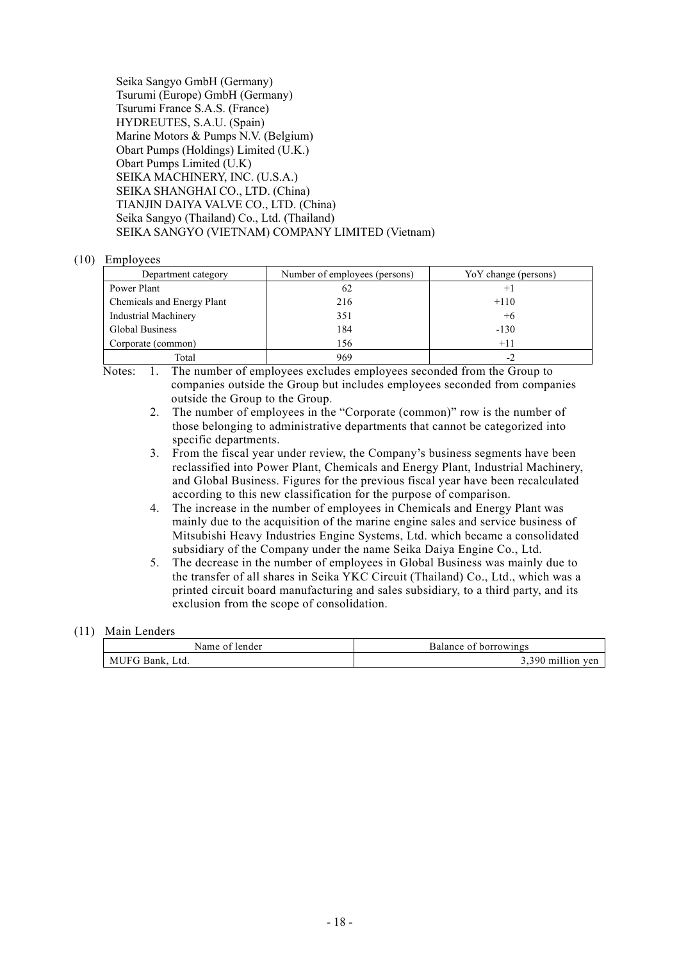| Seika Sangyo GmbH (Germany)                      |
|--------------------------------------------------|
| Tsurumi (Europe) GmbH (Germany)                  |
| Tsurumi France S.A.S. (France)                   |
| HYDREUTES, S.A.U. (Spain)                        |
| Marine Motors & Pumps N.V. (Belgium)             |
| Obart Pumps (Holdings) Limited (U.K.)            |
| Obart Pumps Limited (U.K)                        |
| SEIKA MACHINERY, INC. (U.S.A.)                   |
| SEIKA SHANGHAI CO., LTD. (China)                 |
| TIANJIN DAIYA VALVE CO., LTD. (China)            |
| Seika Sangyo (Thailand) Co., Ltd. (Thailand)     |
| SEIKA SANGYO (VIETNAM) COMPANY LIMITED (Vietnam) |

#### (10) Employees

| Department category         | Number of employees (persons) | YoY change (persons) |
|-----------------------------|-------------------------------|----------------------|
| Power Plant                 | 62                            | $+1$                 |
| Chemicals and Energy Plant  | 216                           | $+110$               |
| <b>Industrial Machinery</b> | 351                           | $+6$                 |
| <b>Global Business</b>      | 184                           | $-130$               |
| Corporate (common)          | 156                           | $+11$                |
| Total                       | 969                           |                      |

Notes: 1. The number of employees excludes employees seconded from the Group to companies outside the Group but includes employees seconded from companies outside the Group to the Group.

- 2. The number of employees in the "Corporate (common)" row is the number of those belonging to administrative departments that cannot be categorized into specific departments.
- 3. From the fiscal year under review, the Company's business segments have been reclassified into Power Plant, Chemicals and Energy Plant, Industrial Machinery, and Global Business. Figures for the previous fiscal year have been recalculated according to this new classification for the purpose of comparison.
- 4. The increase in the number of employees in Chemicals and Energy Plant was mainly due to the acquisition of the marine engine sales and service business of Mitsubishi Heavy Industries Engine Systems, Ltd. which became a consolidated subsidiary of the Company under the name Seika Daiya Engine Co., Ltd.
- 5. The decrease in the number of employees in Global Business was mainly due to the transfer of all shares in Seika YKC Circuit (Thailand) Co., Ltd., which was a printed circuit board manufacturing and sales subsidiary, to a third party, and its exclusion from the scope of consolidation.

### (11) Main Lenders

| ider<br>$\sim$ $\sim$ | $\sim$ $\sim$<br>oalance o<br>. |
|-----------------------|---------------------------------|
| MUF'<br>' .td.        | $\sim$ $\sim$<br>י הי<br>тпиног |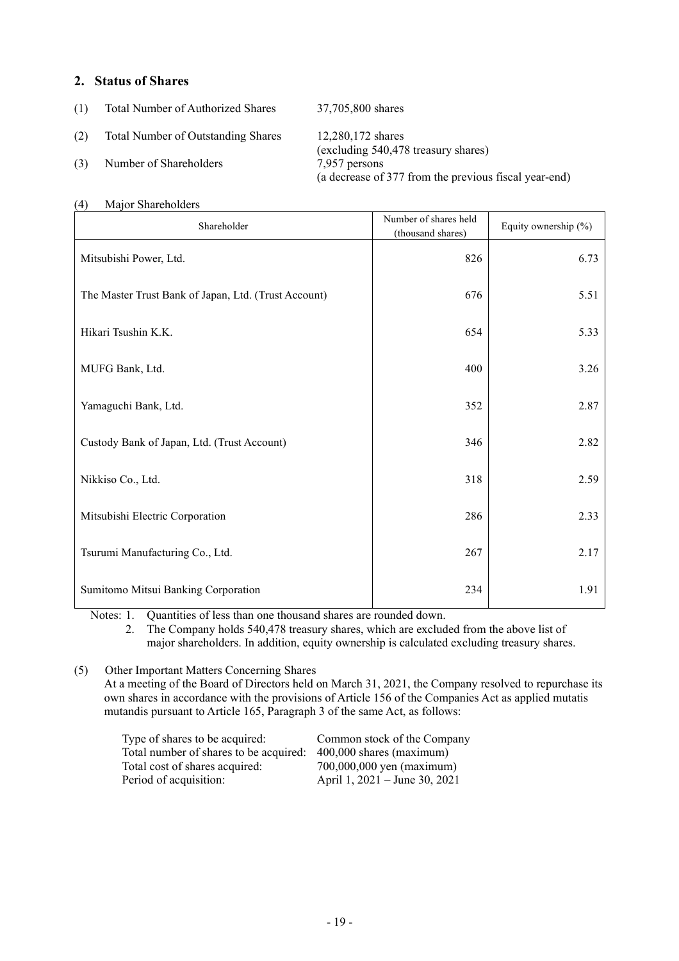# **2. Status of Shares**

(1) Total Number of Authorized Shares 37,705,800 shares

(2) Total Number of Outstanding Shares 12,280,172 shares

# (3) Number of Shareholders 7,957 persons

(excluding 540,478 treasury shares) (a decrease of 377 from the previous fiscal year-end)

# (4) Major Shareholders

| Shareholder                                          | Number of shares held<br>(thousand shares) | Equity ownership (%) |
|------------------------------------------------------|--------------------------------------------|----------------------|
| Mitsubishi Power, Ltd.                               | 826                                        | 6.73                 |
| The Master Trust Bank of Japan, Ltd. (Trust Account) | 676                                        | 5.51                 |
| Hikari Tsushin K.K.                                  | 654                                        | 5.33                 |
| MUFG Bank, Ltd.                                      | 400                                        | 3.26                 |
| Yamaguchi Bank, Ltd.                                 | 352                                        | 2.87                 |
| Custody Bank of Japan, Ltd. (Trust Account)          | 346                                        | 2.82                 |
| Nikkiso Co., Ltd.                                    | 318                                        | 2.59                 |
| Mitsubishi Electric Corporation                      | 286                                        | 2.33                 |
| Tsurumi Manufacturing Co., Ltd.                      | 267                                        | 2.17                 |
| Sumitomo Mitsui Banking Corporation                  | 234                                        | 1.91                 |

Notes: 1. Quantities of less than one thousand shares are rounded down.

2. The Company holds 540,478 treasury shares, which are excluded from the above list of major shareholders. In addition, equity ownership is calculated excluding treasury shares.

(5) Other Important Matters Concerning Shares

At a meeting of the Board of Directors held on March 31, 2021, the Company resolved to repurchase its own shares in accordance with the provisions of Article 156 of the Companies Act as applied mutatis mutandis pursuant to Article 165, Paragraph 3 of the same Act, as follows:

| Type of shares to be acquired:         | Common stock of the Company   |
|----------------------------------------|-------------------------------|
| Total number of shares to be acquired: | 400,000 shares (maximum)      |
| Total cost of shares acquired:         | 700,000,000 yen (maximum)     |
| Period of acquisition:                 | April 1, 2021 – June 30, 2021 |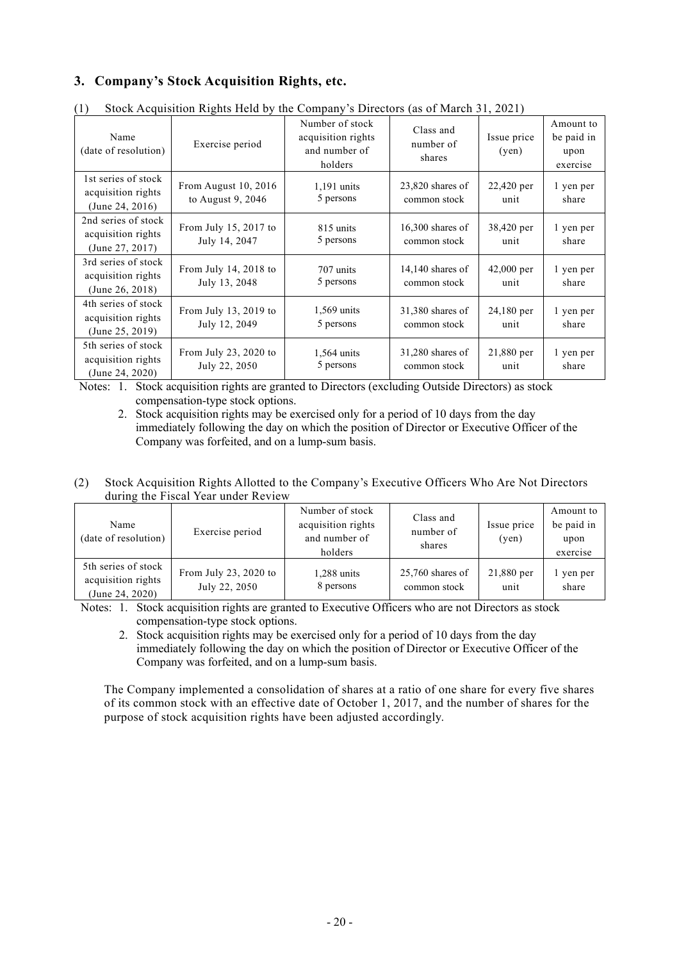# **3. Company's Stock Acquisition Rights, etc.**

| (* )                                                         | $\frac{1}{2}$ of the distribution $\frac{1}{2}$ and $\frac{1}{2}$ and $\frac{1}{2}$ and $\frac{1}{2}$ and $\frac{1}{2}$ and $\frac{1}{2}$ and $\frac{1}{2}$ and $\frac{1}{2}$ and $\frac{1}{2}$ and $\frac{1}{2}$ and $\frac{1}{2}$ and $\frac{1}{2}$ and $\frac{1}{2}$ and $\frac{1}{2}$ |                                                                   |                                    |                      |                                             |
|--------------------------------------------------------------|-------------------------------------------------------------------------------------------------------------------------------------------------------------------------------------------------------------------------------------------------------------------------------------------|-------------------------------------------------------------------|------------------------------------|----------------------|---------------------------------------------|
| Name<br>(date of resolution)                                 | Exercise period                                                                                                                                                                                                                                                                           | Number of stock<br>acquisition rights<br>and number of<br>holders | Class and<br>number of<br>shares   | Issue price<br>(yen) | Amount to<br>be paid in<br>upon<br>exercise |
| 1st series of stock<br>acquisition rights<br>(June 24, 2016) | From August 10, 2016<br>to August 9, 2046                                                                                                                                                                                                                                                 | $1,191$ units<br>5 persons                                        | $23,820$ shares of<br>common stock | 22,420 per<br>unit   | 1 yen per<br>share                          |
| 2nd series of stock<br>acquisition rights<br>(June 27, 2017) | From July 15, 2017 to<br>July 14, 2047                                                                                                                                                                                                                                                    | 815 units<br>5 persons                                            | $16,300$ shares of<br>common stock | 38,420 per<br>unit   | 1 yen per<br>share                          |
| 3rd series of stock<br>acquisition rights<br>(June 26, 2018) | From July 14, $2018$ to<br>July 13, 2048                                                                                                                                                                                                                                                  | 707 units<br>5 persons                                            | $14,140$ shares of<br>common stock | $42,000$ per<br>unit | 1 yen per<br>share                          |
| 4th series of stock<br>acquisition rights<br>(June 25, 2019) | From July 13, 2019 to<br>July 12, 2049                                                                                                                                                                                                                                                    | 1,569 units<br>5 persons                                          | 31,380 shares of<br>common stock   | 24,180 per<br>unit   | 1 yen per<br>share                          |
| 5th series of stock<br>acquisition rights<br>(June 24, 2020) | From July 23, 2020 to<br>July 22, 2050                                                                                                                                                                                                                                                    | 1,564 units<br>5 persons                                          | 31,280 shares of<br>common stock   | 21,880 per<br>unit   | 1 yen per<br>share                          |

(1) Stock Acquisition Rights Held by the Company's Directors (as of March 31, 2021)

Notes: 1. Stock acquisition rights are granted to Directors (excluding Outside Directors) as stock compensation-type stock options.

2. Stock acquisition rights may be exercised only for a period of 10 days from the day immediately following the day on which the position of Director or Executive Officer of the Company was forfeited, and on a lump-sum basis.

(2) Stock Acquisition Rights Allotted to the Company's Executive Officers Who Are Not Directors during the Fiscal Year under Review

| Name<br>(date of resolution)                                 | Exercise period                        | Number of stock<br>acquisition rights<br>and number of<br>holders | Class and<br>number of<br>shares   | Issue price<br>(ven) | Amount to<br>be paid in<br>upon<br>exercise |
|--------------------------------------------------------------|----------------------------------------|-------------------------------------------------------------------|------------------------------------|----------------------|---------------------------------------------|
| 5th series of stock<br>acquisition rights<br>(June 24, 2020) | From July 23, 2020 to<br>July 22, 2050 | $1,288$ units<br>8 persons                                        | $25,760$ shares of<br>common stock | 21,880 per<br>unit   | yen per<br>share                            |

Notes: 1. Stock acquisition rights are granted to Executive Officers who are not Directors as stock compensation-type stock options.

2. Stock acquisition rights may be exercised only for a period of 10 days from the day immediately following the day on which the position of Director or Executive Officer of the Company was forfeited, and on a lump-sum basis.

The Company implemented a consolidation of shares at a ratio of one share for every five shares of its common stock with an effective date of October 1, 2017, and the number of shares for the purpose of stock acquisition rights have been adjusted accordingly.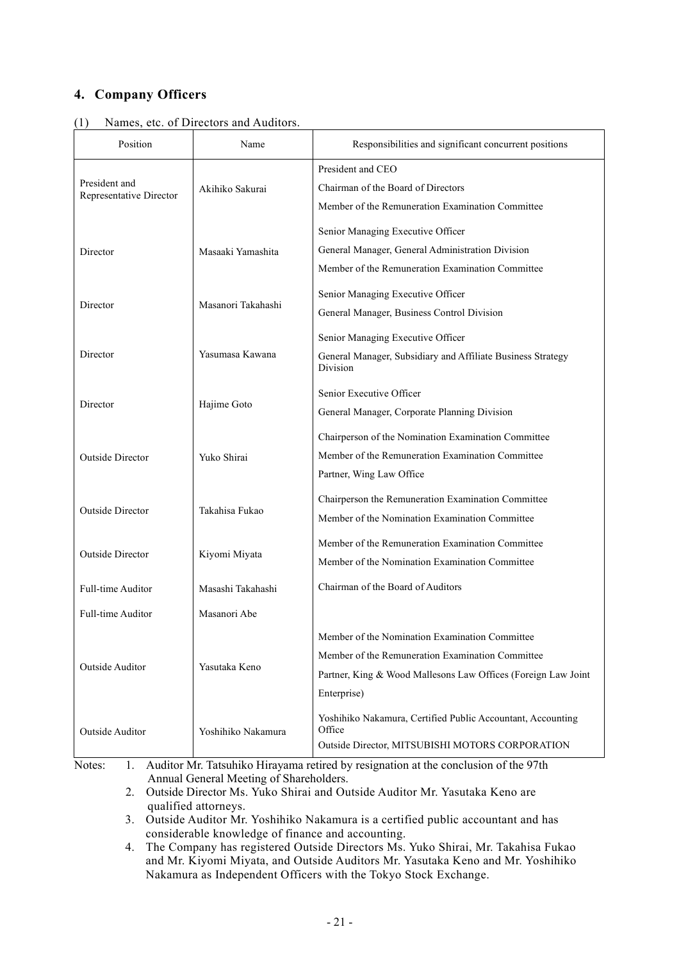# **4. Company Officers**

| Position                                 | Name               | Responsibilities and significant concurrent positions                   |  |
|------------------------------------------|--------------------|-------------------------------------------------------------------------|--|
|                                          |                    | President and CEO                                                       |  |
| President and<br>Representative Director | Akihiko Sakurai    | Chairman of the Board of Directors                                      |  |
|                                          |                    | Member of the Remuneration Examination Committee                        |  |
|                                          |                    | Senior Managing Executive Officer                                       |  |
| Director                                 | Masaaki Yamashita  | General Manager, General Administration Division                        |  |
|                                          |                    | Member of the Remuneration Examination Committee                        |  |
|                                          |                    | Senior Managing Executive Officer                                       |  |
| Director                                 | Masanori Takahashi | General Manager, Business Control Division                              |  |
|                                          |                    | Senior Managing Executive Officer                                       |  |
| Director                                 | Yasumasa Kawana    | General Manager, Subsidiary and Affiliate Business Strategy<br>Division |  |
|                                          | Hajime Goto        | Senior Executive Officer                                                |  |
| Director                                 |                    | General Manager, Corporate Planning Division                            |  |
|                                          | Yuko Shirai        | Chairperson of the Nomination Examination Committee                     |  |
| <b>Outside Director</b>                  |                    | Member of the Remuneration Examination Committee                        |  |
|                                          |                    | Partner, Wing Law Office                                                |  |
|                                          |                    | Chairperson the Remuneration Examination Committee                      |  |
| <b>Outside Director</b>                  | Takahisa Fukao     | Member of the Nomination Examination Committee                          |  |
|                                          | Kiyomi Miyata      | Member of the Remuneration Examination Committee                        |  |
| <b>Outside Director</b>                  |                    | Member of the Nomination Examination Committee                          |  |
| Full-time Auditor                        | Masashi Takahashi  | Chairman of the Board of Auditors                                       |  |
| Full-time Auditor                        | Masanori Abe       |                                                                         |  |
|                                          | Yasutaka Keno      | Member of the Nomination Examination Committee                          |  |
|                                          |                    | Member of the Remuneration Examination Committee                        |  |
| Outside Auditor                          |                    | Partner, King & Wood Mallesons Law Offices (Foreign Law Joint           |  |
|                                          |                    | Enterprise)                                                             |  |
| Outside Auditor                          | Yoshihiko Nakamura | Yoshihiko Nakamura, Certified Public Accountant, Accounting<br>Office   |  |
|                                          |                    | Outside Director, MITSUBISHI MOTORS CORPORATION                         |  |

(1) Names, etc. of Directors and Auditors.

Notes: 1. Auditor Mr. Tatsuhiko Hirayama retired by resignation at the conclusion of the 97th Annual General Meeting of Shareholders.

2. Outside Director Ms. Yuko Shirai and Outside Auditor Mr. Yasutaka Keno are qualified attorneys.

3. Outside Auditor Mr. Yoshihiko Nakamura is a certified public accountant and has considerable knowledge of finance and accounting.

4. The Company has registered Outside Directors Ms. Yuko Shirai, Mr. Takahisa Fukao and Mr. Kiyomi Miyata, and Outside Auditors Mr. Yasutaka Keno and Mr. Yoshihiko Nakamura as Independent Officers with the Tokyo Stock Exchange.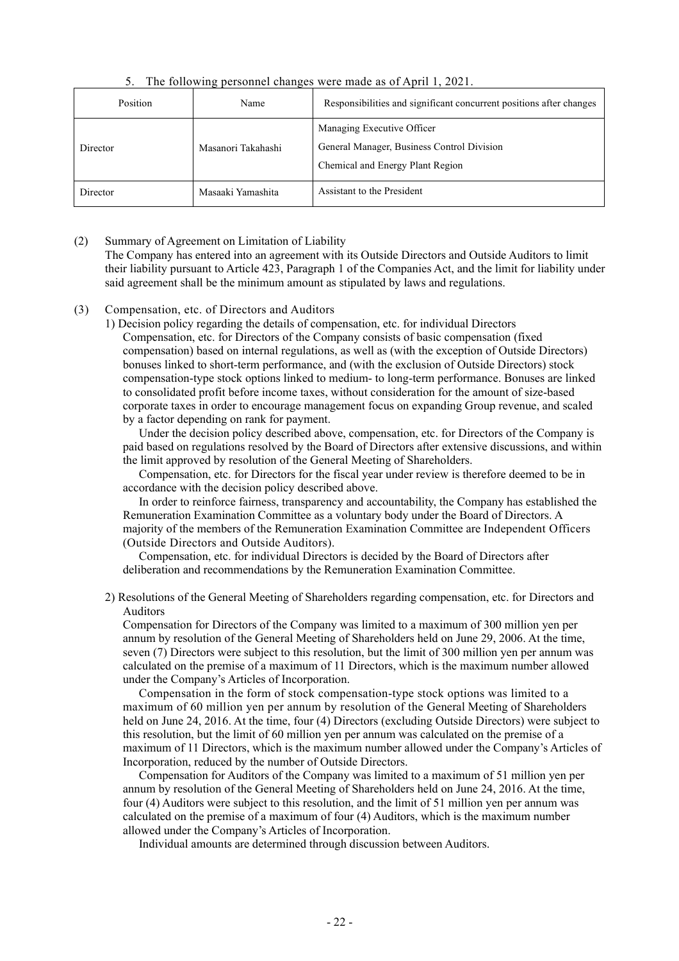5. The following personnel changes were made as of April 1, 2021.

| Position | Name               | Responsibilities and significant concurrent positions after changes                                          |
|----------|--------------------|--------------------------------------------------------------------------------------------------------------|
| Director | Masanori Takahashi | Managing Executive Officer<br>General Manager, Business Control Division<br>Chemical and Energy Plant Region |
| Director | Masaaki Yamashita  | Assistant to the President                                                                                   |

(2) Summary of Agreement on Limitation of Liability

The Company has entered into an agreement with its Outside Directors and Outside Auditors to limit their liability pursuant to Article 423, Paragraph 1 of the Companies Act, and the limit for liability under said agreement shall be the minimum amount as stipulated by laws and regulations.

#### (3) Compensation, etc. of Directors and Auditors

1) Decision policy regarding the details of compensation, etc. for individual Directors Compensation, etc. for Directors of the Company consists of basic compensation (fixed compensation) based on internal regulations, as well as (with the exception of Outside Directors) bonuses linked to short-term performance, and (with the exclusion of Outside Directors) stock compensation-type stock options linked to medium- to long-term performance. Bonuses are linked to consolidated profit before income taxes, without consideration for the amount of size-based corporate taxes in order to encourage management focus on expanding Group revenue, and scaled by a factor depending on rank for payment.

Under the decision policy described above, compensation, etc. for Directors of the Company is paid based on regulations resolved by the Board of Directors after extensive discussions, and within the limit approved by resolution of the General Meeting of Shareholders.

Compensation, etc. for Directors for the fiscal year under review is therefore deemed to be in accordance with the decision policy described above.

In order to reinforce fairness, transparency and accountability, the Company has established the Remuneration Examination Committee as a voluntary body under the Board of Directors. A majority of the members of the Remuneration Examination Committee are Independent Officers (Outside Directors and Outside Auditors).

Compensation, etc. for individual Directors is decided by the Board of Directors after deliberation and recommendations by the Remuneration Examination Committee.

2) Resolutions of the General Meeting of Shareholders regarding compensation, etc. for Directors and Auditors

Compensation for Directors of the Company was limited to a maximum of 300 million yen per annum by resolution of the General Meeting of Shareholders held on June 29, 2006. At the time, seven (7) Directors were subject to this resolution, but the limit of 300 million yen per annum was calculated on the premise of a maximum of 11 Directors, which is the maximum number allowed under the Company's Articles of Incorporation.

Compensation in the form of stock compensation-type stock options was limited to a maximum of 60 million yen per annum by resolution of the General Meeting of Shareholders held on June 24, 2016. At the time, four (4) Directors (excluding Outside Directors) were subject to this resolution, but the limit of 60 million yen per annum was calculated on the premise of a maximum of 11 Directors, which is the maximum number allowed under the Company's Articles of Incorporation, reduced by the number of Outside Directors.

Compensation for Auditors of the Company was limited to a maximum of 51 million yen per annum by resolution of the General Meeting of Shareholders held on June 24, 2016. At the time, four (4) Auditors were subject to this resolution, and the limit of 51 million yen per annum was calculated on the premise of a maximum of four (4) Auditors, which is the maximum number allowed under the Company's Articles of Incorporation.

Individual amounts are determined through discussion between Auditors.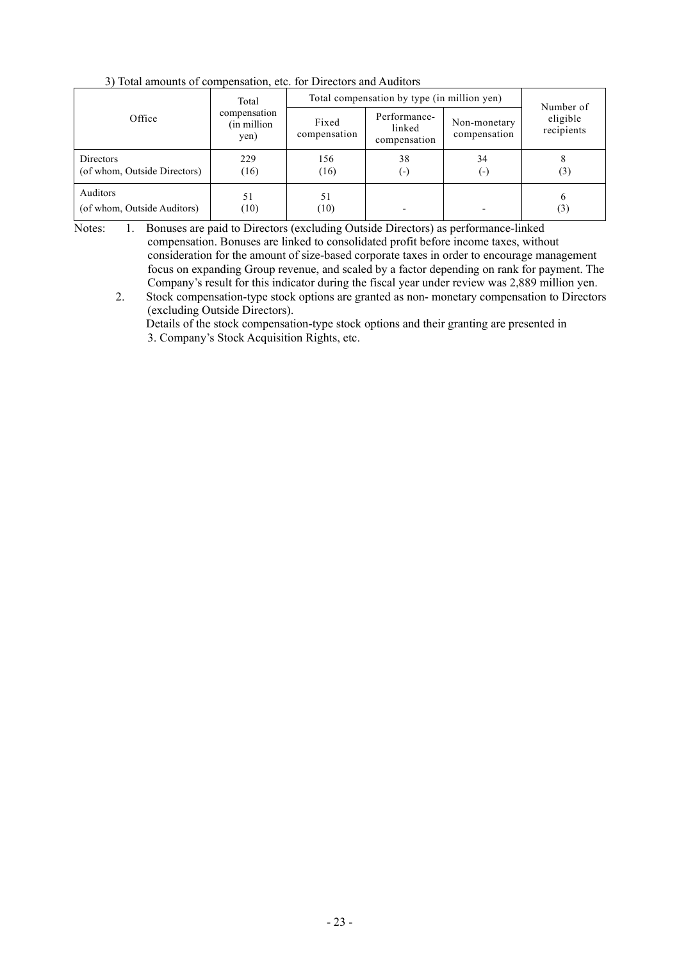|                                           | Total<br>compensation<br>(in million)<br>yen) | Total compensation by type (in million yen) |                                        |                              |                                     |
|-------------------------------------------|-----------------------------------------------|---------------------------------------------|----------------------------------------|------------------------------|-------------------------------------|
| Office                                    |                                               | Fixed<br>compensation                       | Performance-<br>linked<br>compensation | Non-monetary<br>compensation | Number of<br>eligible<br>recipients |
| Directors<br>(of whom, Outside Directors) | 229<br>(16)                                   | 156<br>(16)                                 | 38<br>( – )                            | 34<br>(-)                    | (3)                                 |
| Auditors<br>(of whom, Outside Auditors)   | 51<br>(10)                                    | 51<br>(10)                                  |                                        |                              | 6<br>(3)                            |

3) Total amounts of compensation, etc. for Directors and Auditors

Notes: 1. Bonuses are paid to Directors (excluding Outside Directors) as performance-linked compensation. Bonuses are linked to consolidated profit before income taxes, without consideration for the amount of size-based corporate taxes in order to encourage management focus on expanding Group revenue, and scaled by a factor depending on rank for payment. The Company's result for this indicator during the fiscal year under review was 2,889 million yen.

2. Stock compensation-type stock options are granted as non- monetary compensation to Directors (excluding Outside Directors).

Details of the stock compensation-type stock options and their granting are presented in 3. Company's Stock Acquisition Rights, etc.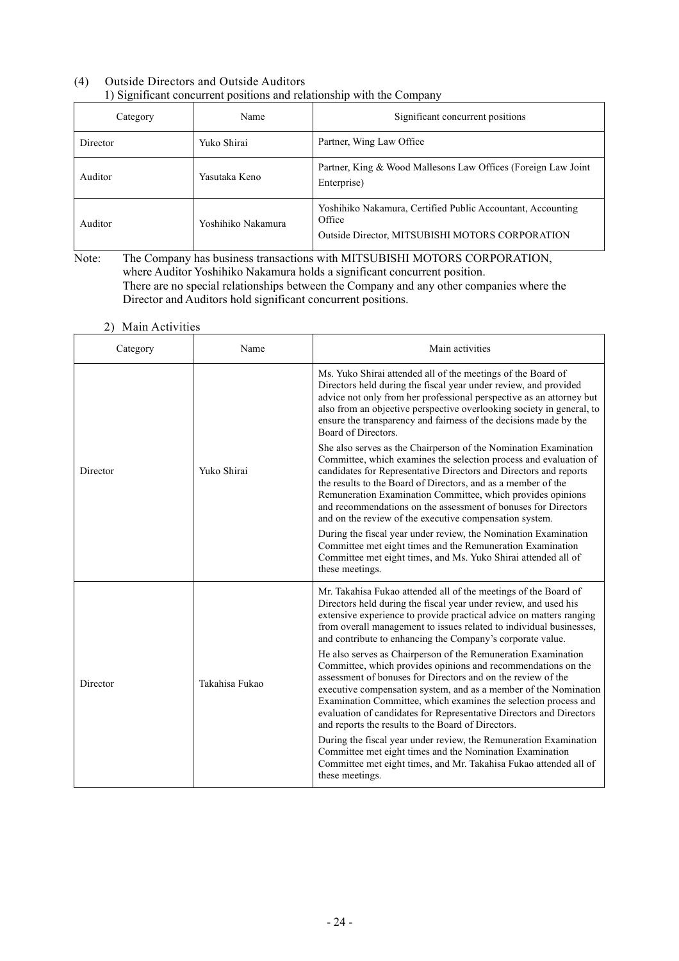# (4) Outside Directors and Outside Auditors 1) Significant concurrent positions and relationship with the Company

| Category | Name               | Significant concurrent positions                                                                                         |
|----------|--------------------|--------------------------------------------------------------------------------------------------------------------------|
| Director | Yuko Shirai        | Partner, Wing Law Office                                                                                                 |
| Auditor  | Yasutaka Keno      | Partner, King & Wood Mallesons Law Offices (Foreign Law Joint<br>Enterprise)                                             |
| Auditor  | Yoshihiko Nakamura | Yoshihiko Nakamura, Certified Public Accountant, Accounting<br>Office<br>Outside Director, MITSUBISHI MOTORS CORPORATION |

Note: The Company has business transactions with MITSUBISHI MOTORS CORPORATION, where Auditor Yoshihiko Nakamura holds a significant concurrent position. There are no special relationships between the Company and any other companies where the Director and Auditors hold significant concurrent positions.

2) Main Activities

| Category | Name           | Main activities                                                                                                                                                                                                                                                                                                                                                                                                                                                         |
|----------|----------------|-------------------------------------------------------------------------------------------------------------------------------------------------------------------------------------------------------------------------------------------------------------------------------------------------------------------------------------------------------------------------------------------------------------------------------------------------------------------------|
|          | Yuko Shirai    | Ms. Yuko Shirai attended all of the meetings of the Board of<br>Directors held during the fiscal year under review, and provided<br>advice not only from her professional perspective as an attorney but<br>also from an objective perspective overlooking society in general, to<br>ensure the transparency and fairness of the decisions made by the<br>Board of Directors.                                                                                           |
| Director |                | She also serves as the Chairperson of the Nomination Examination<br>Committee, which examines the selection process and evaluation of<br>candidates for Representative Directors and Directors and reports<br>the results to the Board of Directors, and as a member of the<br>Remuneration Examination Committee, which provides opinions<br>and recommendations on the assessment of bonuses for Directors<br>and on the review of the executive compensation system. |
|          |                | During the fiscal year under review, the Nomination Examination<br>Committee met eight times and the Remuneration Examination<br>Committee met eight times, and Ms. Yuko Shirai attended all of<br>these meetings.                                                                                                                                                                                                                                                      |
|          |                | Mr. Takahisa Fukao attended all of the meetings of the Board of<br>Directors held during the fiscal year under review, and used his<br>extensive experience to provide practical advice on matters ranging<br>from overall management to issues related to individual businesses,<br>and contribute to enhancing the Company's corporate value.                                                                                                                         |
| Director | Takahisa Fukao | He also serves as Chairperson of the Remuneration Examination<br>Committee, which provides opinions and recommendations on the<br>assessment of bonuses for Directors and on the review of the<br>executive compensation system, and as a member of the Nomination<br>Examination Committee, which examines the selection process and<br>evaluation of candidates for Representative Directors and Directors<br>and reports the results to the Board of Directors.      |
|          |                | During the fiscal year under review, the Remuneration Examination<br>Committee met eight times and the Nomination Examination<br>Committee met eight times, and Mr. Takahisa Fukao attended all of<br>these meetings.                                                                                                                                                                                                                                                   |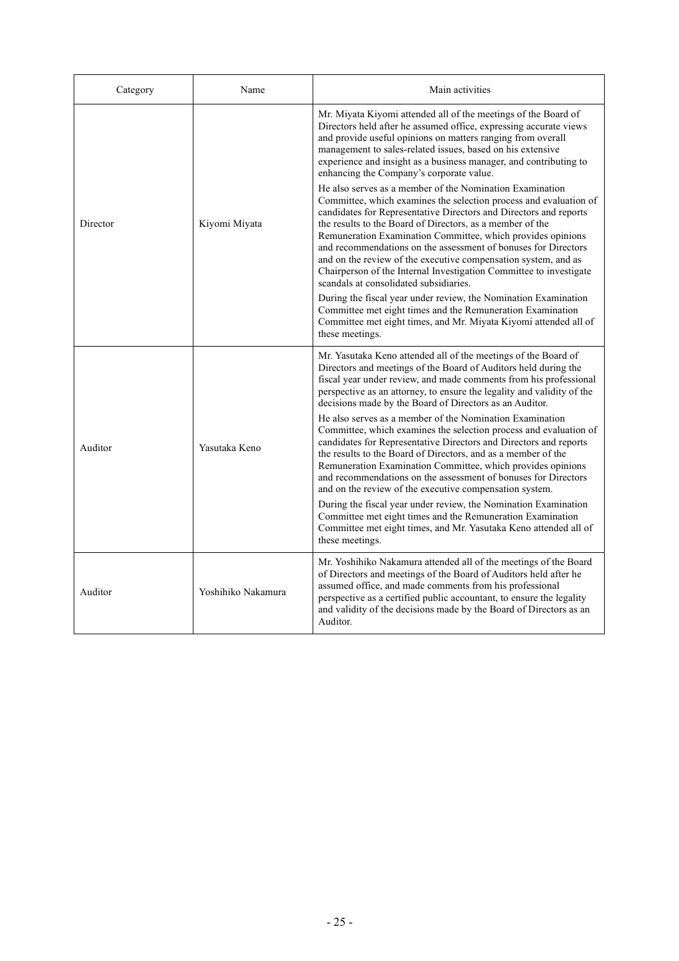| Category | Name               | Main activities                                                                                                                                                                                                                                                                                                                                                                                                                                                                                                                                                                    |
|----------|--------------------|------------------------------------------------------------------------------------------------------------------------------------------------------------------------------------------------------------------------------------------------------------------------------------------------------------------------------------------------------------------------------------------------------------------------------------------------------------------------------------------------------------------------------------------------------------------------------------|
|          | Kiyomi Miyata      | Mr. Miyata Kiyomi attended all of the meetings of the Board of<br>Directors held after he assumed office, expressing accurate views<br>and provide useful opinions on matters ranging from overall<br>management to sales-related issues, based on his extensive<br>experience and insight as a business manager, and contributing to<br>enhancing the Company's corporate value.                                                                                                                                                                                                  |
| Director |                    | He also serves as a member of the Nomination Examination<br>Committee, which examines the selection process and evaluation of<br>candidates for Representative Directors and Directors and reports<br>the results to the Board of Directors, as a member of the<br>Remuneration Examination Committee, which provides opinions<br>and recommendations on the assessment of bonuses for Directors<br>and on the review of the executive compensation system, and as<br>Chairperson of the Internal Investigation Committee to investigate<br>scandals at consolidated subsidiaries. |
|          |                    | During the fiscal year under review, the Nomination Examination<br>Committee met eight times and the Remuneration Examination<br>Committee met eight times, and Mr. Miyata Kiyomi attended all of<br>these meetings.                                                                                                                                                                                                                                                                                                                                                               |
|          |                    | Mr. Yasutaka Keno attended all of the meetings of the Board of<br>Directors and meetings of the Board of Auditors held during the<br>fiscal year under review, and made comments from his professional<br>perspective as an attorney, to ensure the legality and validity of the<br>decisions made by the Board of Directors as an Auditor.                                                                                                                                                                                                                                        |
| Auditor  | Yasutaka Keno      | He also serves as a member of the Nomination Examination<br>Committee, which examines the selection process and evaluation of<br>candidates for Representative Directors and Directors and reports<br>the results to the Board of Directors, and as a member of the<br>Remuneration Examination Committee, which provides opinions<br>and recommendations on the assessment of bonuses for Directors<br>and on the review of the executive compensation system.                                                                                                                    |
|          |                    | During the fiscal year under review, the Nomination Examination<br>Committee met eight times and the Remuneration Examination<br>Committee met eight times, and Mr. Yasutaka Keno attended all of<br>these meetings.                                                                                                                                                                                                                                                                                                                                                               |
| Auditor  | Yoshihiko Nakamura | Mr. Yoshihiko Nakamura attended all of the meetings of the Board<br>of Directors and meetings of the Board of Auditors held after he<br>assumed office, and made comments from his professional<br>perspective as a certified public accountant, to ensure the legality<br>and validity of the decisions made by the Board of Directors as an<br>Auditor.                                                                                                                                                                                                                          |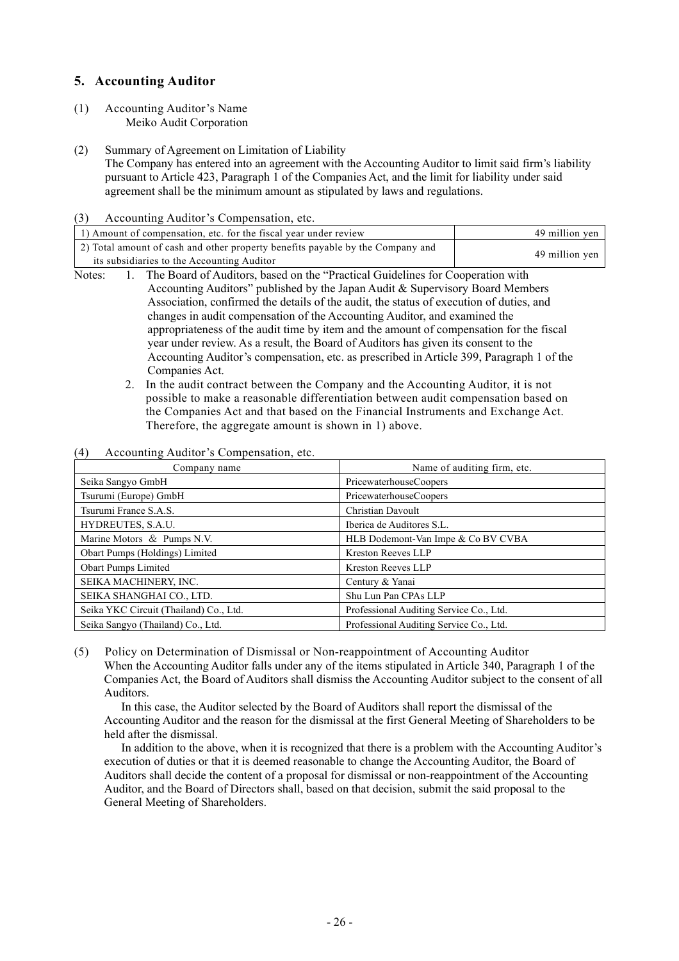# **5. Accounting Auditor**

- (1) Accounting Auditor's Name Meiko Audit Corporation
- (2) Summary of Agreement on Limitation of Liability

The Company has entered into an agreement with the Accounting Auditor to limit said firm's liability pursuant to Article 423, Paragraph 1 of the Companies Act, and the limit for liability under said agreement shall be the minimum amount as stipulated by laws and regulations.

(3) Accounting Auditor's Compensation, etc.

| 1) Amount of compensation, etc. for the fiscal year under review                                                             |                                                                                         | 49 million yen |
|------------------------------------------------------------------------------------------------------------------------------|-----------------------------------------------------------------------------------------|----------------|
| 2) Total amount of cash and other property benefits payable by the Company and<br>its subsidiaries to the Accounting Auditor |                                                                                         | 49 million yen |
|                                                                                                                              | The Board of Auditors, based on the "Practical Guidelines for Cooperation with<br>Note: |                |

- Notes: 1. The Board of Auditors, based on the "Practical Guidelines for Cooperation with Accounting Auditors" published by the Japan Audit & Supervisory Board Members Association, confirmed the details of the audit, the status of execution of duties, and changes in audit compensation of the Accounting Auditor, and examined the appropriateness of the audit time by item and the amount of compensation for the fiscal year under review. As a result, the Board of Auditors has given its consent to the Accounting Auditor's compensation, etc. as prescribed in Article 399, Paragraph 1 of the Companies Act.
	- 2. In the audit contract between the Company and the Accounting Auditor, it is not possible to make a reasonable differentiation between audit compensation based on the Companies Act and that based on the Financial Instruments and Exchange Act. Therefore, the aggregate amount is shown in 1) above.
- (4) Accounting Auditor's Compensation, etc.

| Company name                           | Name of auditing firm, etc.             |
|----------------------------------------|-----------------------------------------|
| Seika Sangyo GmbH                      | PricewaterhouseCoopers                  |
| Tsurumi (Europe) GmbH                  | PricewaterhouseCoopers                  |
| Tsurumi France S.A.S.                  | Christian Davoult                       |
| HYDREUTES, S.A.U.                      | Iberica de Auditores S.L.               |
| Marine Motors & Pumps N.V.             | HLB Dodemont-Van Impe & Co BV CVBA      |
| Obart Pumps (Holdings) Limited         | <b>Kreston Reeves LLP</b>               |
| <b>Obart Pumps Limited</b>             | <b>Kreston Reeves LLP</b>               |
| SEIKA MACHINERY, INC.                  | Century & Yanai                         |
| SEIKA SHANGHAI CO., LTD.               | Shu Lun Pan CPAs LLP                    |
| Seika YKC Circuit (Thailand) Co., Ltd. | Professional Auditing Service Co., Ltd. |
| Seika Sangyo (Thailand) Co., Ltd.      | Professional Auditing Service Co., Ltd. |

(5) Policy on Determination of Dismissal or Non-reappointment of Accounting Auditor When the Accounting Auditor falls under any of the items stipulated in Article 340, Paragraph 1 of the Companies Act, the Board of Auditors shall dismiss the Accounting Auditor subject to the consent of all Auditors.

In this case, the Auditor selected by the Board of Auditors shall report the dismissal of the Accounting Auditor and the reason for the dismissal at the first General Meeting of Shareholders to be held after the dismissal.

In addition to the above, when it is recognized that there is a problem with the Accounting Auditor's execution of duties or that it is deemed reasonable to change the Accounting Auditor, the Board of Auditors shall decide the content of a proposal for dismissal or non-reappointment of the Accounting Auditor, and the Board of Directors shall, based on that decision, submit the said proposal to the General Meeting of Shareholders.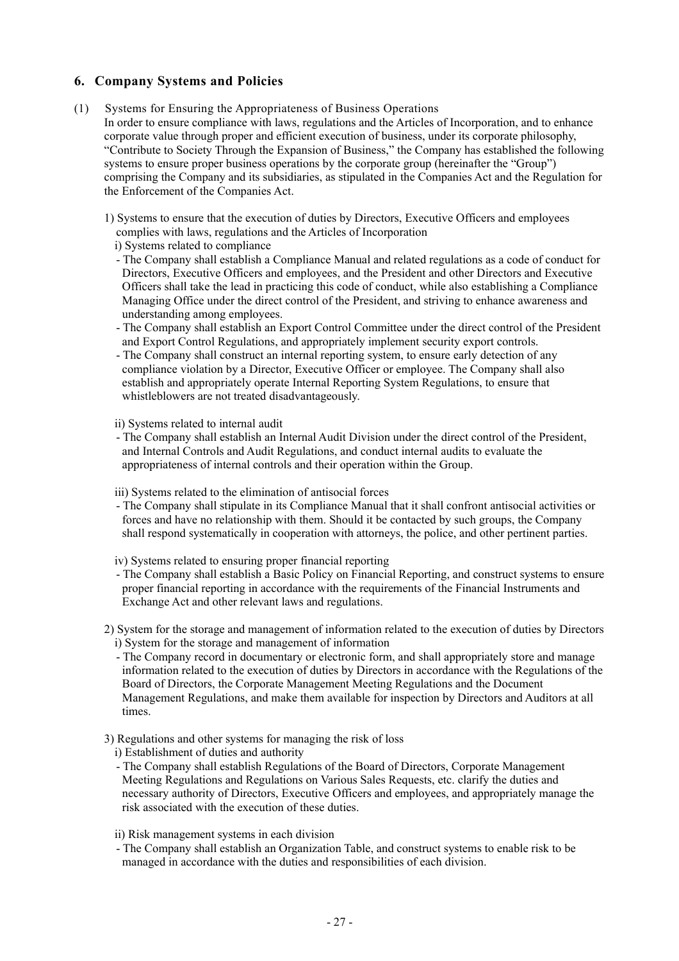# **6. Company Systems and Policies**

- (1) Systems for Ensuring the Appropriateness of Business Operations
	- In order to ensure compliance with laws, regulations and the Articles of Incorporation, and to enhance corporate value through proper and efficient execution of business, under its corporate philosophy, "Contribute to Society Through the Expansion of Business," the Company has established the following systems to ensure proper business operations by the corporate group (hereinafter the "Group") comprising the Company and its subsidiaries, as stipulated in the Companies Act and the Regulation for the Enforcement of the Companies Act.
		- 1) Systems to ensure that the execution of duties by Directors, Executive Officers and employees complies with laws, regulations and the Articles of Incorporation
			- i) Systems related to compliance
			- The Company shall establish a Compliance Manual and related regulations as a code of conduct for Directors, Executive Officers and employees, and the President and other Directors and Executive Officers shall take the lead in practicing this code of conduct, while also establishing a Compliance Managing Office under the direct control of the President, and striving to enhance awareness and understanding among employees.
			- The Company shall establish an Export Control Committee under the direct control of the President and Export Control Regulations, and appropriately implement security export controls.
			- The Company shall construct an internal reporting system, to ensure early detection of any compliance violation by a Director, Executive Officer or employee. The Company shall also establish and appropriately operate Internal Reporting System Regulations, to ensure that whistleblowers are not treated disadvantageously.

ii) Systems related to internal audit

- The Company shall establish an Internal Audit Division under the direct control of the President, and Internal Controls and Audit Regulations, and conduct internal audits to evaluate the appropriateness of internal controls and their operation within the Group.
- iii) Systems related to the elimination of antisocial forces
- The Company shall stipulate in its Compliance Manual that it shall confront antisocial activities or forces and have no relationship with them. Should it be contacted by such groups, the Company shall respond systematically in cooperation with attorneys, the police, and other pertinent parties.

iv) Systems related to ensuring proper financial reporting

- The Company shall establish a Basic Policy on Financial Reporting, and construct systems to ensure proper financial reporting in accordance with the requirements of the Financial Instruments and Exchange Act and other relevant laws and regulations.
- 2) System for the storage and management of information related to the execution of duties by Directors i) System for the storage and management of information
	- The Company record in documentary or electronic form, and shall appropriately store and manage information related to the execution of duties by Directors in accordance with the Regulations of the Board of Directors, the Corporate Management Meeting Regulations and the Document Management Regulations, and make them available for inspection by Directors and Auditors at all times.
- 3) Regulations and other systems for managing the risk of loss
	- i) Establishment of duties and authority
	- The Company shall establish Regulations of the Board of Directors, Corporate Management Meeting Regulations and Regulations on Various Sales Requests, etc. clarify the duties and necessary authority of Directors, Executive Officers and employees, and appropriately manage the risk associated with the execution of these duties.
	- ii) Risk management systems in each division
	- The Company shall establish an Organization Table, and construct systems to enable risk to be managed in accordance with the duties and responsibilities of each division.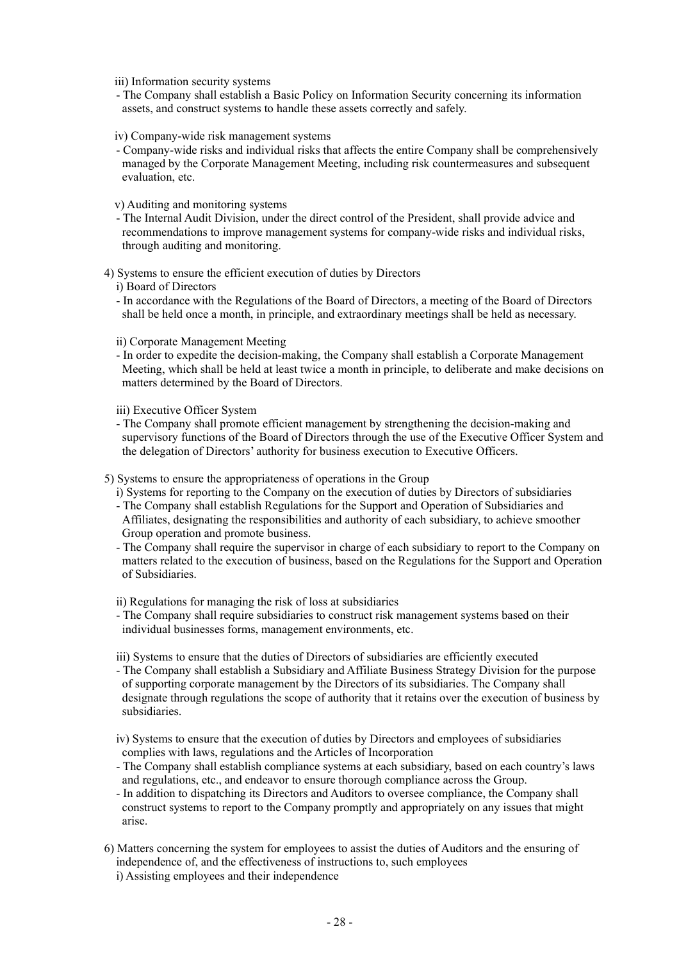iii) Information security systems

- The Company shall establish a Basic Policy on Information Security concerning its information assets, and construct systems to handle these assets correctly and safely.
- iv) Company-wide risk management systems
- Company-wide risks and individual risks that affects the entire Company shall be comprehensively managed by the Corporate Management Meeting, including risk countermeasures and subsequent evaluation, etc.

v) Auditing and monitoring systems

- The Internal Audit Division, under the direct control of the President, shall provide advice and recommendations to improve management systems for company-wide risks and individual risks, through auditing and monitoring.
- 4) Systems to ensure the efficient execution of duties by Directors

i) Board of Directors

- In accordance with the Regulations of the Board of Directors, a meeting of the Board of Directors shall be held once a month, in principle, and extraordinary meetings shall be held as necessary.
- ii) Corporate Management Meeting
- In order to expedite the decision-making, the Company shall establish a Corporate Management Meeting, which shall be held at least twice a month in principle, to deliberate and make decisions on matters determined by the Board of Directors.

iii) Executive Officer System

- The Company shall promote efficient management by strengthening the decision-making and supervisory functions of the Board of Directors through the use of the Executive Officer System and the delegation of Directors' authority for business execution to Executive Officers.

5) Systems to ensure the appropriateness of operations in the Group

- i) Systems for reporting to the Company on the execution of duties by Directors of subsidiaries
- The Company shall establish Regulations for the Support and Operation of Subsidiaries and Affiliates, designating the responsibilities and authority of each subsidiary, to achieve smoother Group operation and promote business.
- The Company shall require the supervisor in charge of each subsidiary to report to the Company on matters related to the execution of business, based on the Regulations for the Support and Operation of Subsidiaries.

ii) Regulations for managing the risk of loss at subsidiaries

- The Company shall require subsidiaries to construct risk management systems based on their individual businesses forms, management environments, etc.

iii) Systems to ensure that the duties of Directors of subsidiaries are efficiently executed

- The Company shall establish a Subsidiary and Affiliate Business Strategy Division for the purpose of supporting corporate management by the Directors of its subsidiaries. The Company shall designate through regulations the scope of authority that it retains over the execution of business by subsidiaries.
- iv) Systems to ensure that the execution of duties by Directors and employees of subsidiaries complies with laws, regulations and the Articles of Incorporation
- The Company shall establish compliance systems at each subsidiary, based on each country's laws and regulations, etc., and endeavor to ensure thorough compliance across the Group.
- In addition to dispatching its Directors and Auditors to oversee compliance, the Company shall construct systems to report to the Company promptly and appropriately on any issues that might arise.
- 6) Matters concerning the system for employees to assist the duties of Auditors and the ensuring of independence of, and the effectiveness of instructions to, such employees
	- i) Assisting employees and their independence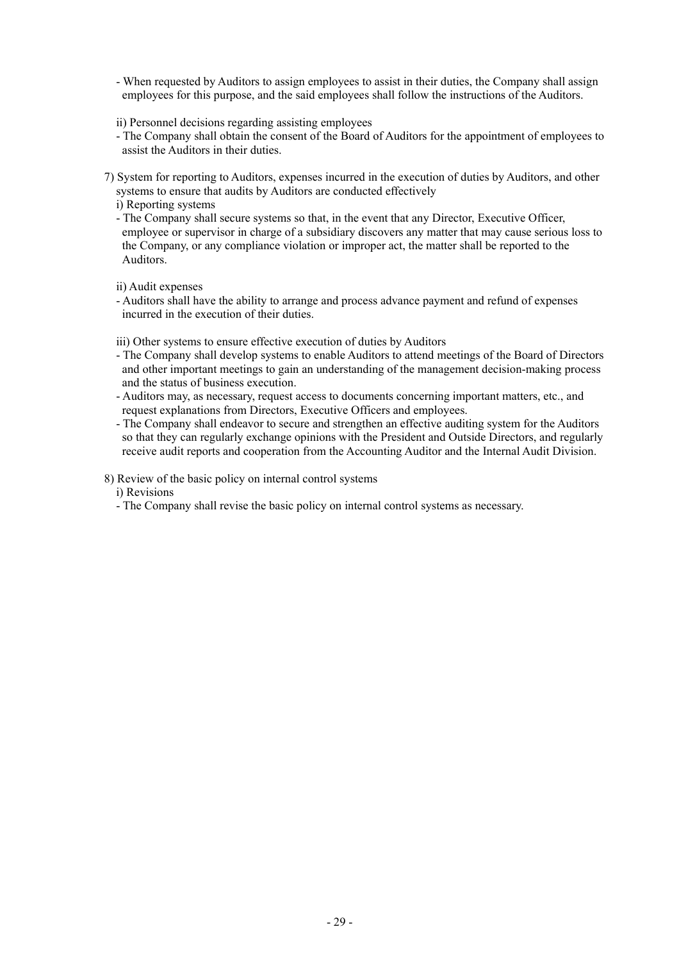- When requested by Auditors to assign employees to assist in their duties, the Company shall assign employees for this purpose, and the said employees shall follow the instructions of the Auditors.

ii) Personnel decisions regarding assisting employees

- The Company shall obtain the consent of the Board of Auditors for the appointment of employees to assist the Auditors in their duties.
- 7) System for reporting to Auditors, expenses incurred in the execution of duties by Auditors, and other systems to ensure that audits by Auditors are conducted effectively

i) Reporting systems

- The Company shall secure systems so that, in the event that any Director, Executive Officer, employee or supervisor in charge of a subsidiary discovers any matter that may cause serious loss to the Company, or any compliance violation or improper act, the matter shall be reported to the Auditors.

ii) Audit expenses

- Auditors shall have the ability to arrange and process advance payment and refund of expenses incurred in the execution of their duties.

iii) Other systems to ensure effective execution of duties by Auditors

- The Company shall develop systems to enable Auditors to attend meetings of the Board of Directors and other important meetings to gain an understanding of the management decision-making process and the status of business execution.
- Auditors may, as necessary, request access to documents concerning important matters, etc., and request explanations from Directors, Executive Officers and employees.
- The Company shall endeavor to secure and strengthen an effective auditing system for the Auditors so that they can regularly exchange opinions with the President and Outside Directors, and regularly receive audit reports and cooperation from the Accounting Auditor and the Internal Audit Division.
- 8) Review of the basic policy on internal control systems

i) Revisions

- The Company shall revise the basic policy on internal control systems as necessary.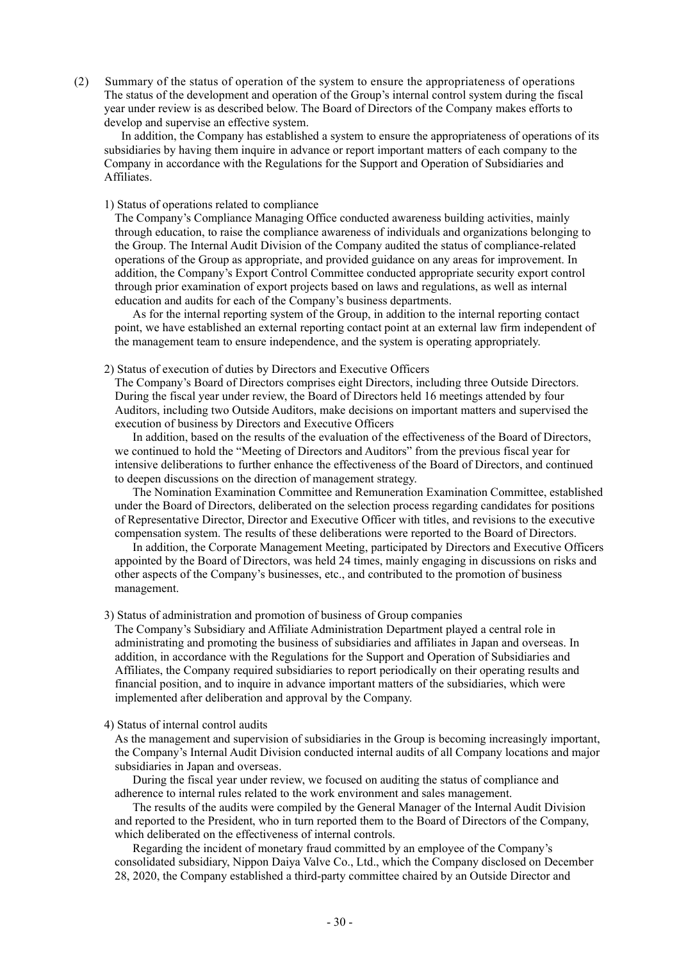(2) Summary of the status of operation of the system to ensure the appropriateness of operations The status of the development and operation of the Group's internal control system during the fiscal year under review is as described below. The Board of Directors of the Company makes efforts to develop and supervise an effective system.

In addition, the Company has established a system to ensure the appropriateness of operations of its subsidiaries by having them inquire in advance or report important matters of each company to the Company in accordance with the Regulations for the Support and Operation of Subsidiaries and Affiliates.

### 1) Status of operations related to compliance

The Company's Compliance Managing Office conducted awareness building activities, mainly through education, to raise the compliance awareness of individuals and organizations belonging to the Group. The Internal Audit Division of the Company audited the status of compliance-related operations of the Group as appropriate, and provided guidance on any areas for improvement. In addition, the Company's Export Control Committee conducted appropriate security export control through prior examination of export projects based on laws and regulations, as well as internal education and audits for each of the Company's business departments.

As for the internal reporting system of the Group, in addition to the internal reporting contact point, we have established an external reporting contact point at an external law firm independent of the management team to ensure independence, and the system is operating appropriately.

### 2) Status of execution of duties by Directors and Executive Officers

The Company's Board of Directors comprises eight Directors, including three Outside Directors. During the fiscal year under review, the Board of Directors held 16 meetings attended by four Auditors, including two Outside Auditors, make decisions on important matters and supervised the execution of business by Directors and Executive Officers

In addition, based on the results of the evaluation of the effectiveness of the Board of Directors, we continued to hold the "Meeting of Directors and Auditors" from the previous fiscal year for intensive deliberations to further enhance the effectiveness of the Board of Directors, and continued to deepen discussions on the direction of management strategy.

The Nomination Examination Committee and Remuneration Examination Committee, established under the Board of Directors, deliberated on the selection process regarding candidates for positions of Representative Director, Director and Executive Officer with titles, and revisions to the executive compensation system. The results of these deliberations were reported to the Board of Directors.

In addition, the Corporate Management Meeting, participated by Directors and Executive Officers appointed by the Board of Directors, was held 24 times, mainly engaging in discussions on risks and other aspects of the Company's businesses, etc., and contributed to the promotion of business management.

#### 3) Status of administration and promotion of business of Group companies

The Company's Subsidiary and Affiliate Administration Department played a central role in administrating and promoting the business of subsidiaries and affiliates in Japan and overseas. In addition, in accordance with the Regulations for the Support and Operation of Subsidiaries and Affiliates, the Company required subsidiaries to report periodically on their operating results and financial position, and to inquire in advance important matters of the subsidiaries, which were implemented after deliberation and approval by the Company.

#### 4) Status of internal control audits

As the management and supervision of subsidiaries in the Group is becoming increasingly important, the Company's Internal Audit Division conducted internal audits of all Company locations and major subsidiaries in Japan and overseas.

During the fiscal year under review, we focused on auditing the status of compliance and adherence to internal rules related to the work environment and sales management.

The results of the audits were compiled by the General Manager of the Internal Audit Division and reported to the President, who in turn reported them to the Board of Directors of the Company, which deliberated on the effectiveness of internal controls.

Regarding the incident of monetary fraud committed by an employee of the Company's consolidated subsidiary, Nippon Daiya Valve Co., Ltd., which the Company disclosed on December 28, 2020, the Company established a third-party committee chaired by an Outside Director and